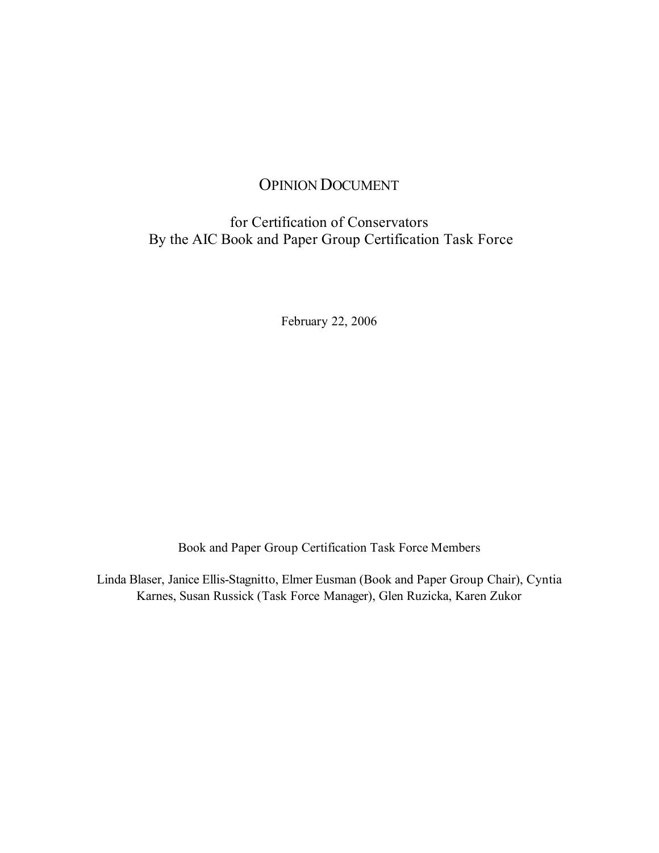# OPINION DOCUMENT

## for Certification of Conservators By the AIC Book and Paper Group Certification Task Force

February 22, 2006

Book and Paper Group Certification Task Force Members

Linda Blaser, Janice Ellis-Stagnitto, Elmer Eusman (Book and Paper Group Chair), Cyntia Karnes, Susan Russick (Task Force Manager), Glen Ruzicka, Karen Zukor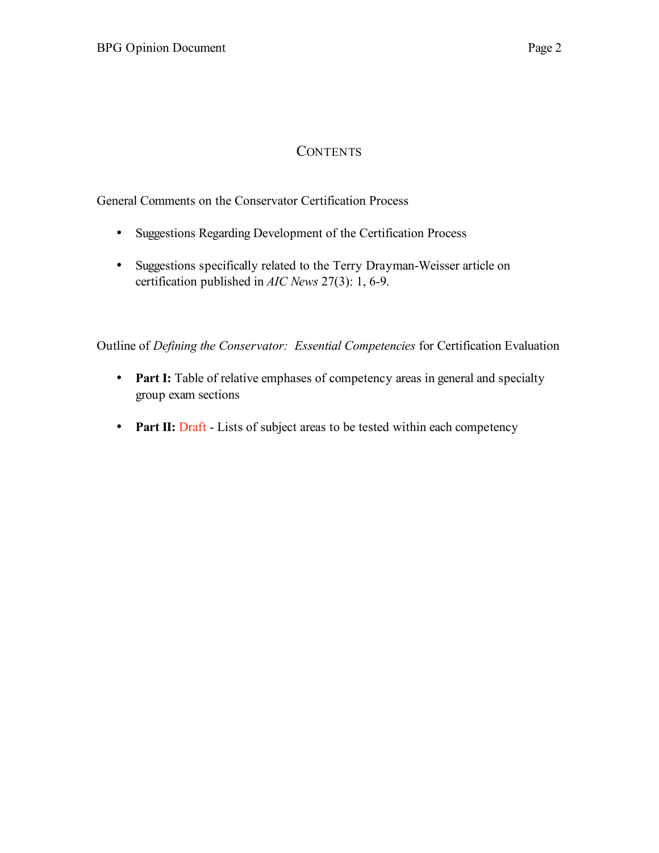# **CONTENTS**

General Comments on the Conservator Certification Process

- Suggestions Regarding Development of the Certification Process
- Suggestions specifically related to the Terry Drayman-Weisser article on certification published in *AIC News* 27(3): 1, 6-9.

Outline of *Defining the Conservator: Essential Competencies* for Certification Evaluation

- **Part I:** Table of relative emphases of competency areas in general and specialty group exam sections
- **Part II:** Draft Lists of subject areas to be tested within each competency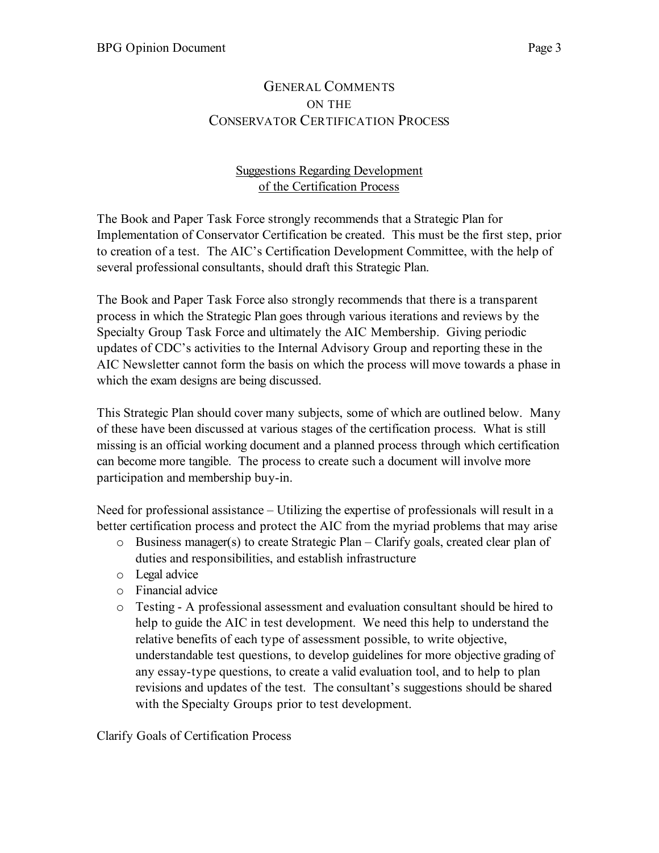## GENERAL COMMENTS ON THE CONSERVATOR CERTIFICATION PROCESS

#### Suggestions Regarding Development of the Certification Process

The Book and Paper Task Force strongly recommends that a Strategic Plan for Implementation of Conservator Certification be created. This must be the first step, prior to creation of a test. The AIC's Certification Development Committee, with the help of several professional consultants, should draft this Strategic Plan.

The Book and Paper Task Force also strongly recommends that there is a transparent process in which the Strategic Plan goes through various iterations and reviews by the Specialty Group Task Force and ultimately the AIC Membership. Giving periodic updates of CDC's activities to the Internal Advisory Group and reporting these in the AIC Newsletter cannot form the basis on which the process will move towards a phase in which the exam designs are being discussed.

This Strategic Plan should cover many subjects, some of which are outlined below. Many of these have been discussed at various stages of the certification process. What is still missing is an official working document and a planned process through which certification can become more tangible. The process to create such a document will involve more participation and membership buy-in.

Need for professional assistance – Utilizing the expertise of professionals will result in a better certification process and protect the AIC from the myriad problems that may arise

- $\circ$  Business manager(s) to create Strategic Plan Clarify goals, created clear plan of duties and responsibilities, and establish infrastructure
- o Legal advice
- o Financial advice
- o Testing A professional assessment and evaluation consultant should be hired to help to guide the AIC in test development. We need this help to understand the relative benefits of each type of assessment possible, to write objective, understandable test questions, to develop guidelines for more objective grading of any essay-type questions, to create a valid evaluation tool, and to help to plan revisions and updates of the test. The consultant's suggestions should be shared with the Specialty Groups prior to test development.

Clarify Goals of Certification Process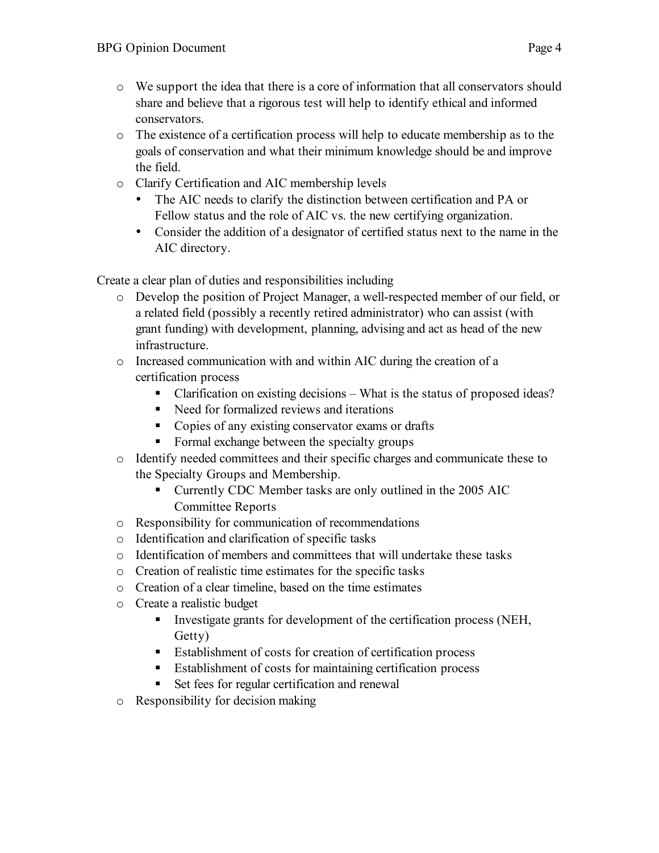- o We support the idea that there is a core of information that all conservators should share and believe that a rigorous test will help to identify ethical and informed conservators.
- o The existence of a certification process will help to educate membership as to the goals of conservation and what their minimum knowledge should be and improve the field.
- o Clarify Certification and AIC membership levels
	- The AIC needs to clarify the distinction between certification and PA or Fellow status and the role of AIC vs. the new certifying organization.
	- Consider the addition of a designator of certified status next to the name in the AIC directory.

Create a clear plan of duties and responsibilities including

- o Develop the position of Project Manager, a well-respected member of our field, or a related field (possibly a recently retired administrator) who can assist (with grant funding) with development, planning, advising and act as head of the new infrastructure.
- o Increased communication with and within AIC during the creation of a certification process
	- Clarification on existing decisions What is the status of proposed ideas?
	- Need for formalized reviews and iterations
	- Copies of any existing conservator exams or drafts
	- Formal exchange between the specialty groups
- o Identify needed committees and their specific charges and communicate these to the Specialty Groups and Membership.
	- Currently CDC Member tasks are only outlined in the 2005 AIC Committee Reports
- o Responsibility for communication of recommendations
- o Identification and clarification of specific tasks
- o Identification of members and committees that will undertake these tasks
- o Creation of realistic time estimates for the specific tasks
- o Creation of a clear timeline, based on the time estimates
- o Create a realistic budget
	- Investigate grants for development of the certification process (NEH, Getty)
	- Establishment of costs for creation of certification process
	- Establishment of costs for maintaining certification process
	- Set fees for regular certification and renewal
- o Responsibility for decision making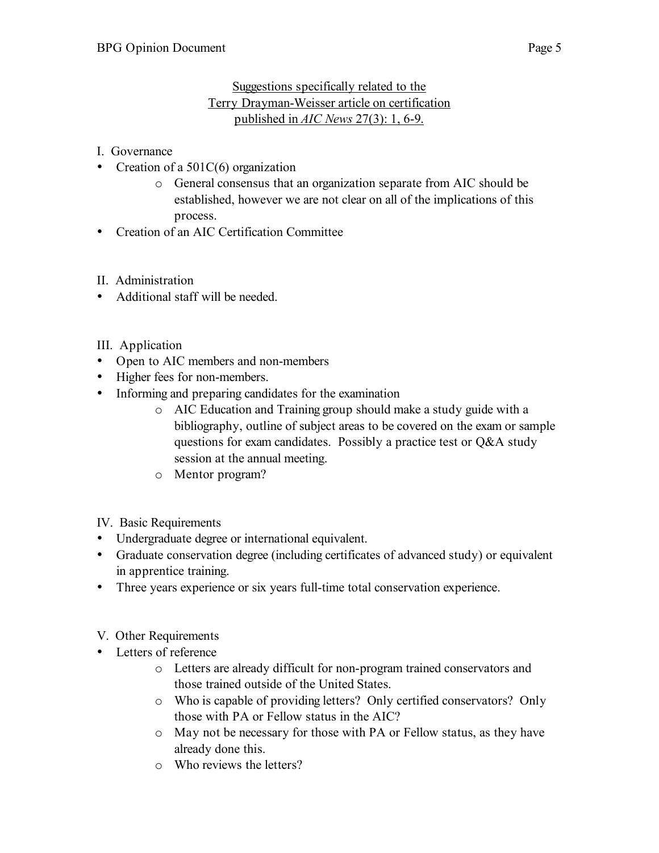#### Suggestions specifically related to the Terry Drayman-Weisser article on certification published in *AIC News* 27(3): 1, 6-9.

I. Governance

- Creation of a 501C(6) organization
	- o General consensus that an organization separate from AIC should be established, however we are not clear on all of the implications of this process.
- Creation of an AIC Certification Committee
- II. Administration
- Additional staff will be needed.
- III. Application
- Open to AIC members and non-members
- Higher fees for non-members.
- Informing and preparing candidates for the examination
	- o AIC Education and Training group should make a study guide with a bibliography, outline of subject areas to be covered on the exam or sample questions for exam candidates. Possibly a practice test or Q&A study session at the annual meeting.
	- o Mentor program?
- IV. Basic Requirements
- Undergraduate degree or international equivalent.
- Graduate conservation degree (including certificates of advanced study) or equivalent in apprentice training.
- Three years experience or six years full-time total conservation experience.
- V. Other Requirements
- Letters of reference
	- o Letters are already difficult for non-program trained conservators and those trained outside of the United States.
	- o Who is capable of providing letters? Only certified conservators? Only those with PA or Fellow status in the AIC?
	- o May not be necessary for those with PA or Fellow status, as they have already done this.
	- o Who reviews the letters?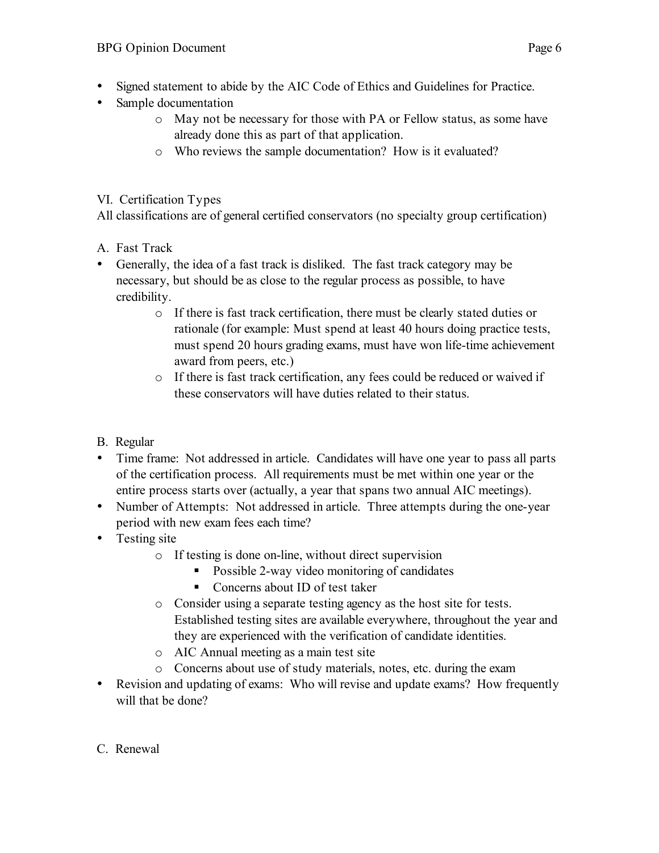- Signed statement to abide by the AIC Code of Ethics and Guidelines for Practice.
- Sample documentation
	- o May not be necessary for those with PA or Fellow status, as some have already done this as part of that application.
	- o Who reviews the sample documentation? How is it evaluated?

#### VI. Certification Types

All classifications are of general certified conservators (no specialty group certification)

- A. Fast Track
- Generally, the idea of a fast track is disliked. The fast track category may be necessary, but should be as close to the regular process as possible, to have credibility.
	- o If there is fast track certification, there must be clearly stated duties or rationale (for example: Must spend at least 40 hours doing practice tests, must spend 20 hours grading exams, must have won life-time achievement award from peers, etc.)
	- o If there is fast track certification, any fees could be reduced or waived if these conservators will have duties related to their status.
- B. Regular
- Time frame: Not addressed in article. Candidates will have one year to pass all parts of the certification process. All requirements must be met within one year or the entire process starts over (actually, a year that spans two annual AIC meetings).
- Number of Attempts: Not addressed in article. Three attempts during the one-year period with new exam fees each time?
- Testing site
	- o If testing is done on-line, without direct supervision
		- Possible 2-way video monitoring of candidates
		- Concerns about ID of test taker
	- o Consider using a separate testing agency as the host site for tests. Established testing sites are available everywhere, throughout the year and they are experienced with the verification of candidate identities.
	- o AIC Annual meeting as a main test site
	- o Concerns about use of study materials, notes, etc. during the exam
- Revision and updating of exams: Who will revise and update exams? How frequently will that be done?
- C. Renewal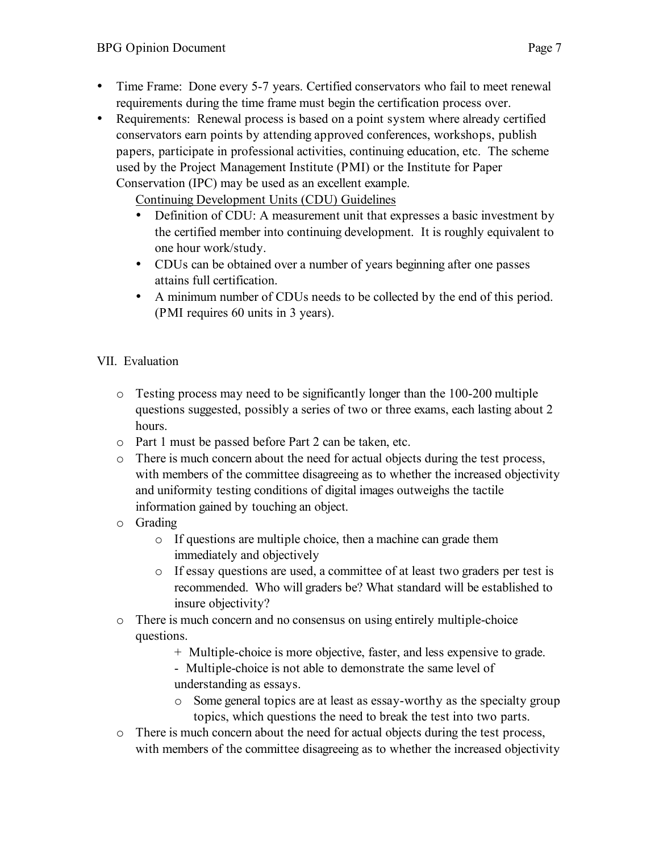- Time Frame: Done every 5-7 years. Certified conservators who fail to meet renewal requirements during the time frame must begin the certification process over.
- Requirements: Renewal process is based on a point system where already certified conservators earn points by attending approved conferences, workshops, publish papers, participate in professional activities, continuing education, etc. The scheme used by the Project Management Institute (PMI) or the Institute for Paper Conservation (IPC) may be used as an excellent example.

Continuing Development Units (CDU) Guidelines

- Definition of CDU: A measurement unit that expresses a basic investment by the certified member into continuing development. It is roughly equivalent to one hour work/study.
- CDUs can be obtained over a number of years beginning after one passes attains full certification.
- A minimum number of CDUs needs to be collected by the end of this period. (PMI requires 60 units in 3 years).

#### VII. Evaluation

- $\circ$  Testing process may need to be significantly longer than the 100-200 multiple questions suggested, possibly a series of two or three exams, each lasting about 2 hours.
- o Part 1 must be passed before Part 2 can be taken, etc.
- $\circ$  There is much concern about the need for actual objects during the test process, with members of the committee disagreeing as to whether the increased objectivity and uniformity testing conditions of digital images outweighs the tactile information gained by touching an object.
- o Grading
	- o If questions are multiple choice, then a machine can grade them immediately and objectively
	- o If essay questions are used, a committee of at least two graders per test is recommended. Who will graders be? What standard will be established to insure objectivity?
- o There is much concern and no consensus on using entirely multiple-choice questions.
	- + Multiple-choice is more objective, faster, and less expensive to grade.
	- Multiple-choice is not able to demonstrate the same level of understanding as essays.
	- o Some general topics are at least as essay-worthy as the specialty group topics, which questions the need to break the test into two parts.
- $\circ$  There is much concern about the need for actual objects during the test process, with members of the committee disagreeing as to whether the increased objectivity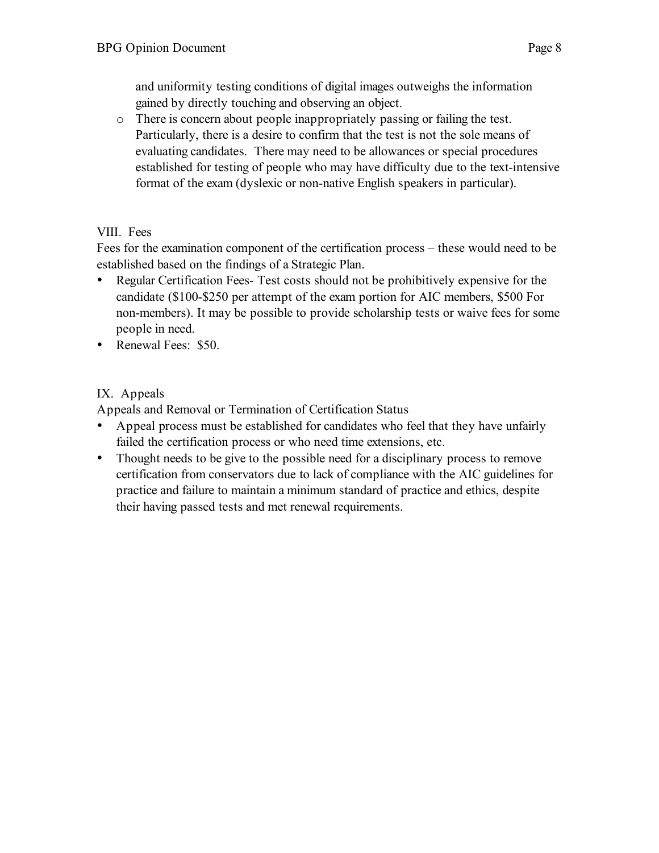and uniformity testing conditions of digital images outweighs the information gained by directly touching and observing an object.

o There is concern about people inappropriately passing or failing the test. Particularly, there is a desire to confirm that the test is not the sole means of evaluating candidates. There may need to be allowances or special procedures established for testing of people who may have difficulty due to the text-intensive format of the exam (dyslexic or non-native English speakers in particular).

#### VIII. Fees

Fees for the examination component of the certification process – these would need to be established based on the findings of a Strategic Plan.

- Regular Certification Fees-Test costs should not be prohibitively expensive for the candidate (\$100-\$250 per attempt of the exam portion for AIC members, \$500 For non-members). It may be possible to provide scholarship tests or waive fees for some people in need.
- Renewal Fees: \$50.

## IX. Appeals

Appeals and Removal or Termination of Certification Status

- Appeal process must be established for candidates who feel that they have unfairly failed the certification process or who need time extensions, etc.
- Thought needs to be give to the possible need for a disciplinary process to remove certification from conservators due to lack of compliance with the AIC guidelines for practice and failure to maintain a minimum standard of practice and ethics, despite their having passed tests and met renewal requirements.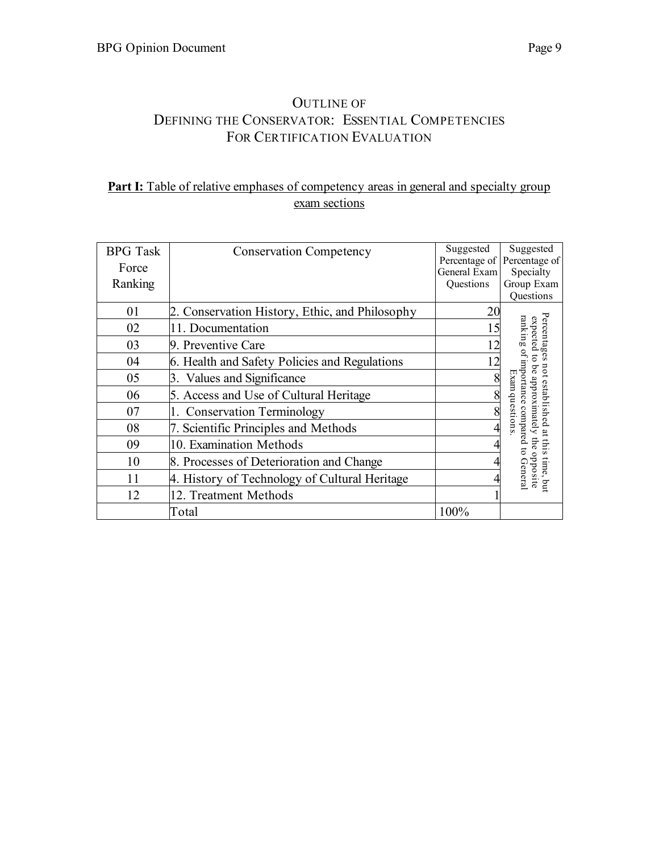# OUTLINE OF DEFINING THE CONSERVATOR: ESSENTIAL COMPETENCIES FOR CERTIFICATION EVALUATION

## **Part I:** Table of relative emphases of competency areas in general and specialty group exam sections

| <b>BPG</b> Task | <b>Conservation Competency</b>                 | Suggested    | Suggested                                                                                 |
|-----------------|------------------------------------------------|--------------|-------------------------------------------------------------------------------------------|
| Force           |                                                | General Exam | Percentage of Percentage of<br>Specialty                                                  |
| Ranking         |                                                | Questions    | Group Exam                                                                                |
|                 |                                                |              | Questions                                                                                 |
| 01              | 2. Conservation History, Ethic, and Philosophy | 20           |                                                                                           |
| 02              | 11. Documentation                              | 15           | expected                                                                                  |
| 03              | 9. Preventive Care                             | 12           | Percentages                                                                               |
| 04              | 6. Health and Safety Policies and Regulations  | 12           | $\overline{c}$                                                                            |
| 05              | 3. Values and Significance                     | 8            | ranking of importance<br>not established at this<br>be approximately the<br>$_{\rm{uav}}$ |
| 06              | 5. Access and Use of Cultural Heritage         |              |                                                                                           |
| 07              | <b>Conservation Terminology</b>                | 8            | duesti                                                                                    |
| 08              | 7. Scientific Principles and Methods           |              | compared                                                                                  |
| 09              | 10. Examination Methods                        |              | ຣ່                                                                                        |
| 10              | 8. Processes of Deterioration and Change       |              | $\circ$                                                                                   |
| 11              | 4. History of Technology of Cultural Heritage  |              | s time, but<br>pposite<br>General                                                         |
| 12              | 12. Treatment Methods                          |              |                                                                                           |
|                 | Total                                          | 100%         |                                                                                           |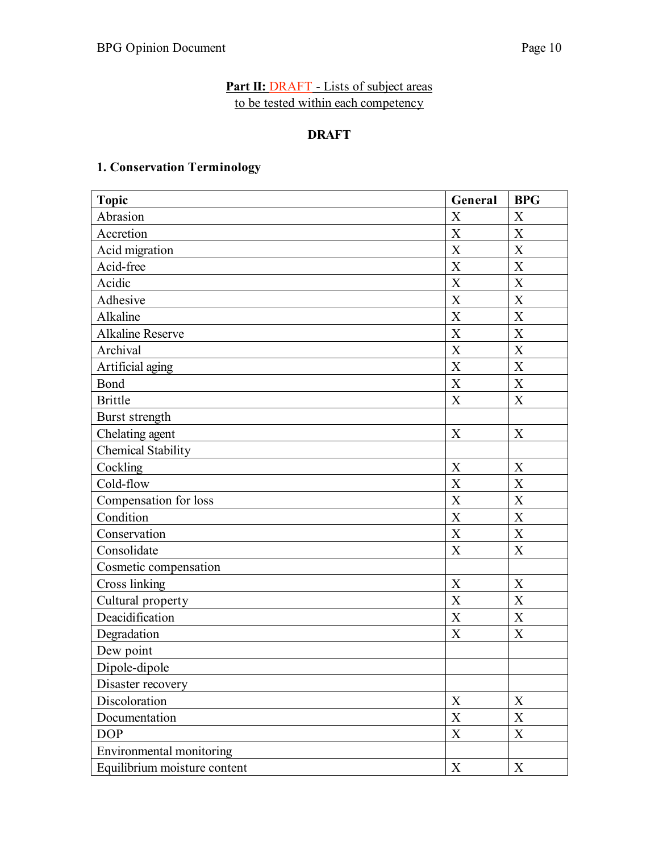#### **Part II: DRAFT** - Lists of subject areas to be tested within each competency

#### **DRAFT**

#### **1. Conservation Terminology**

| <b>Topic</b>                 |                           | <b>BPG</b>                |
|------------------------------|---------------------------|---------------------------|
| Abrasion                     | $\boldsymbol{\mathrm{X}}$ | X                         |
| Accretion                    | $\boldsymbol{\mathrm{X}}$ | X                         |
| Acid migration               | $\boldsymbol{X}$          | X                         |
| Acid-free                    | $\boldsymbol{\mathrm{X}}$ | X                         |
| Acidic                       | $\boldsymbol{X}$          | X                         |
| Adhesive                     | $\boldsymbol{X}$          | X                         |
| Alkaline                     | X                         | X                         |
| <b>Alkaline Reserve</b>      | $\mathbf X$               | $\boldsymbol{X}$          |
| Archival                     | $\boldsymbol{\mathrm{X}}$ | X                         |
| Artificial aging             | $\boldsymbol{X}$          | X                         |
| Bond                         | X                         | X                         |
| <b>Brittle</b>               | X                         | X                         |
| Burst strength               |                           |                           |
| Chelating agent              | X                         | X                         |
| <b>Chemical Stability</b>    |                           |                           |
| Cockling                     | X                         | X                         |
| Cold-flow                    | X                         | X                         |
| Compensation for loss        | $\boldsymbol{X}$          | X                         |
| Condition                    | X                         | X                         |
| Conservation                 | X                         | X                         |
| Consolidate                  | X                         | X                         |
| Cosmetic compensation        |                           |                           |
| <b>Cross linking</b>         | X                         | X                         |
| Cultural property            | X                         | X                         |
| Deacidification              | $\mathbf X$               | X                         |
| Degradation                  | X                         | X                         |
| Dew point                    |                           |                           |
| Dipole-dipole                |                           |                           |
| Disaster recovery            |                           |                           |
| Discoloration                | $\mathbf X$               | X                         |
| Documentation                | X                         | X                         |
| <b>DOP</b>                   | $\boldsymbol{\mathrm{X}}$ | $\boldsymbol{\mathrm{X}}$ |
| Environmental monitoring     |                           |                           |
| Equilibrium moisture content | $\boldsymbol{\mathrm{X}}$ | $\mathbf X$               |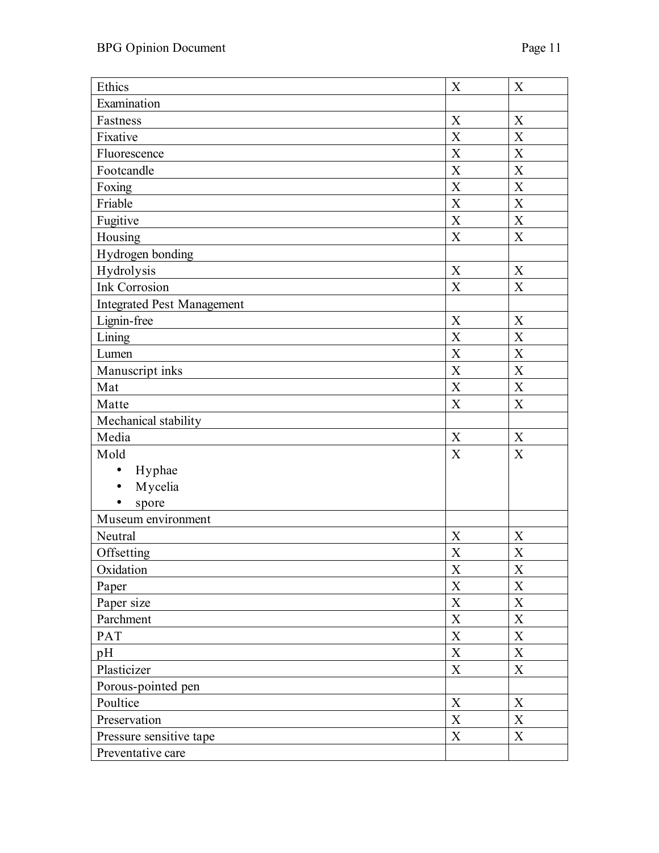| Ethics                     |                           | X                |
|----------------------------|---------------------------|------------------|
| Examination                |                           |                  |
| Fastness                   | X                         | X                |
| Fixative                   | $\boldsymbol{\mathrm{X}}$ | X                |
| Fluorescence               | $\boldsymbol{\mathrm{X}}$ | X                |
| Footcandle                 | $\overline{X}$            | X                |
| Foxing                     | X                         | X                |
| Friable                    | X                         | X                |
| Fugitive                   | X                         | X                |
| Housing                    | $\overline{X}$            | X                |
| Hydrogen bonding           |                           |                  |
| Hydrolysis                 | $\boldsymbol{\mathrm{X}}$ | X                |
| Ink Corrosion              | $\boldsymbol{X}$          | X                |
| Integrated Pest Management |                           |                  |
| Lignin-free                | X                         | X                |
| Lining                     | X                         | X                |
| Lumen                      | $\boldsymbol{\mathrm{X}}$ | X                |
| Manuscript inks            | $\overline{X}$            | X                |
| Mat                        | X                         | X                |
| Matte                      | X                         | X                |
| Mechanical stability       |                           |                  |
| Media                      | X                         | X                |
| Mold                       | X                         | X                |
| Hyphae<br>$\bullet$        |                           |                  |
| Mycelia<br>$\bullet$       |                           |                  |
| spore                      |                           |                  |
| Museum environment         |                           |                  |
| Neutral                    | X                         | X                |
| Offsetting                 | X                         | X                |
| Oxidation                  | X                         | X                |
| Paper                      | $\mathbf X$               | $\boldsymbol{X}$ |
| Paper size                 | $\mathbf X$               | $\mathbf X$      |
| Parchment                  | $\mathbf X$               | $\mathbf X$      |
| PAT                        | $\mathbf X$               | $\mathbf X$      |
| pH                         | $\mathbf X$               | $\mathbf X$      |
| Plasticizer                | $\mathbf X$               | $\mathbf X$      |
| Porous-pointed pen         |                           |                  |
| Poultice                   | $\mathbf X$               | X                |
| Preservation               | $\mathbf X$               | $\mathbf X$      |
| Pressure sensitive tape    | $\mathbf X$               | $\mathbf X$      |
| Preventative care          |                           |                  |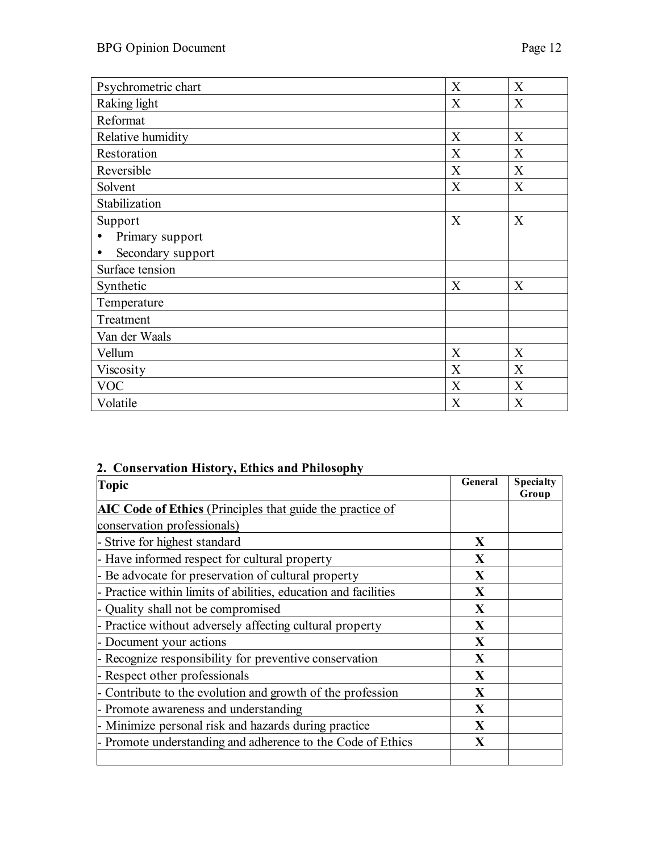| Psychrometric chart<br>X |   | X |
|--------------------------|---|---|
| Raking light<br>X        |   | X |
| Reformat                 |   |   |
| Relative humidity<br>X   |   | X |
| Restoration              | X | X |
| Reversible               | X | X |
| Solvent                  | X | X |
| Stabilization            |   |   |
| Support                  |   | X |
| Primary support          |   |   |
| Secondary support        |   |   |
| Surface tension          |   |   |
| Synthetic                |   | X |
| Temperature              |   |   |
| Treatment                |   |   |
| Van der Waals            |   |   |
| Vellum                   | X | X |
| Viscosity                | X | X |
| <b>VOC</b>               |   | X |
| Volatile                 | X | X |

# **2. Conservation History, Ethics and Philosophy**

| <b>Topic</b>                                                     | General      | <b>Specialty</b><br>Group |
|------------------------------------------------------------------|--------------|---------------------------|
| <b>AIC Code of Ethics</b> (Principles that guide the practice of |              |                           |
| conservation professionals)                                      |              |                           |
| - Strive for highest standard                                    | X            |                           |
| - Have informed respect for cultural property                    | X            |                           |
| - Be advocate for preservation of cultural property              | $\mathbf{X}$ |                           |
| - Practice within limits of abilities, education and facilities  | $\mathbf{X}$ |                           |
| - Quality shall not be compromised                               | $\mathbf{X}$ |                           |
| - Practice without adversely affecting cultural property         | $\mathbf{X}$ |                           |
| - Document your actions                                          | $\mathbf{X}$ |                           |
| - Recognize responsibility for preventive conservation           | X            |                           |
| - Respect other professionals                                    | $\mathbf{X}$ |                           |
| - Contribute to the evolution and growth of the profession       | $\mathbf{X}$ |                           |
| - Promote awareness and understanding                            | $\mathbf{X}$ |                           |
| - Minimize personal risk and hazards during practice             | $\mathbf{X}$ |                           |
| - Promote understanding and adherence to the Code of Ethics      | $\mathbf X$  |                           |
|                                                                  |              |                           |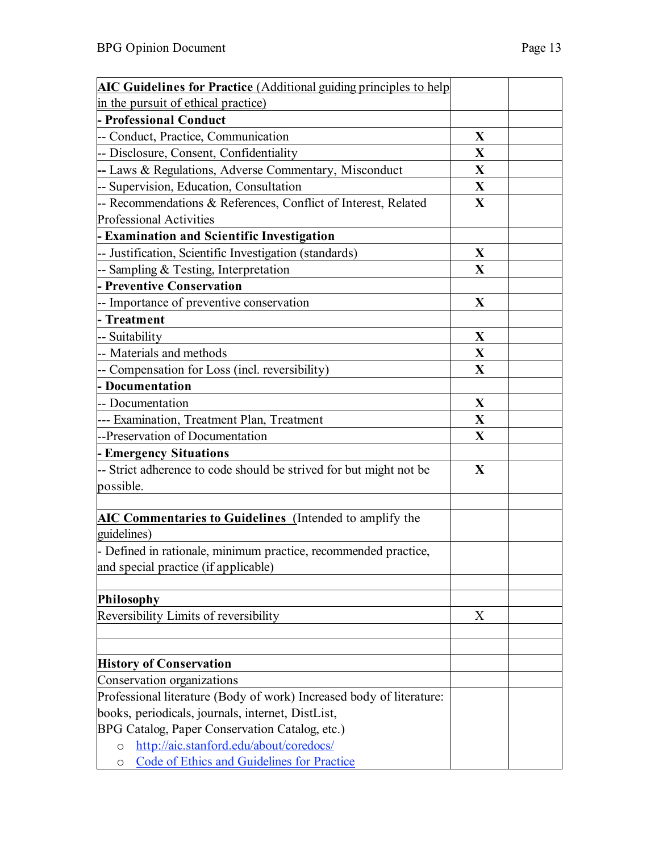| <b>AIC Guidelines for Practice</b> (Additional guiding principles to help                          |             |  |
|----------------------------------------------------------------------------------------------------|-------------|--|
| in the pursuit of ethical practice)                                                                |             |  |
| - Professional Conduct                                                                             |             |  |
| -- Conduct, Practice, Communication                                                                | X           |  |
| -- Disclosure, Consent, Confidentiality                                                            | $\mathbf X$ |  |
| -- Laws & Regulations, Adverse Commentary, Misconduct                                              | X           |  |
| -- Supervision, Education, Consultation                                                            | X           |  |
| - Recommendations & References, Conflict of Interest, Related                                      | X           |  |
| <b>Professional Activities</b>                                                                     |             |  |
| - Examination and Scientific Investigation                                                         |             |  |
| -- Justification, Scientific Investigation (standards)                                             | X           |  |
| -- Sampling & Testing, Interpretation                                                              | X           |  |
| - Preventive Conservation                                                                          |             |  |
| -- Importance of preventive conservation                                                           | X           |  |
| - Treatment                                                                                        |             |  |
| -- Suitability                                                                                     | X           |  |
| -- Materials and methods                                                                           | X           |  |
| -- Compensation for Loss (incl. reversibility)                                                     | X           |  |
| - Documentation                                                                                    |             |  |
| -- Documentation                                                                                   | X           |  |
| --- Examination, Treatment Plan, Treatment                                                         | X           |  |
| --Preservation of Documentation                                                                    | X           |  |
| <b>Emergency Situations</b>                                                                        |             |  |
| -- Strict adherence to code should be strived for but might not be                                 | $\mathbf X$ |  |
| possible.                                                                                          |             |  |
|                                                                                                    |             |  |
| <b>AIC Commentaries to Guidelines</b> (Intended to amplify the                                     |             |  |
| guidelines)                                                                                        |             |  |
| Defined in rationale, minimum practice, recommended practice,                                      |             |  |
| and special practice (if applicable)                                                               |             |  |
|                                                                                                    |             |  |
| Philosophy                                                                                         |             |  |
| Reversibility Limits of reversibility                                                              | X           |  |
|                                                                                                    |             |  |
| <b>History of Conservation</b>                                                                     |             |  |
|                                                                                                    |             |  |
| Conservation organizations<br>Professional literature (Body of work) Increased body of literature: |             |  |
| books, periodicals, journals, internet, DistList,                                                  |             |  |
| BPG Catalog, Paper Conservation Catalog, etc.)                                                     |             |  |
| http://aic.stanford.edu/about/coredocs/<br>$\circ$                                                 |             |  |
| <b>Code of Ethics and Guidelines for Practice</b><br>O                                             |             |  |
|                                                                                                    |             |  |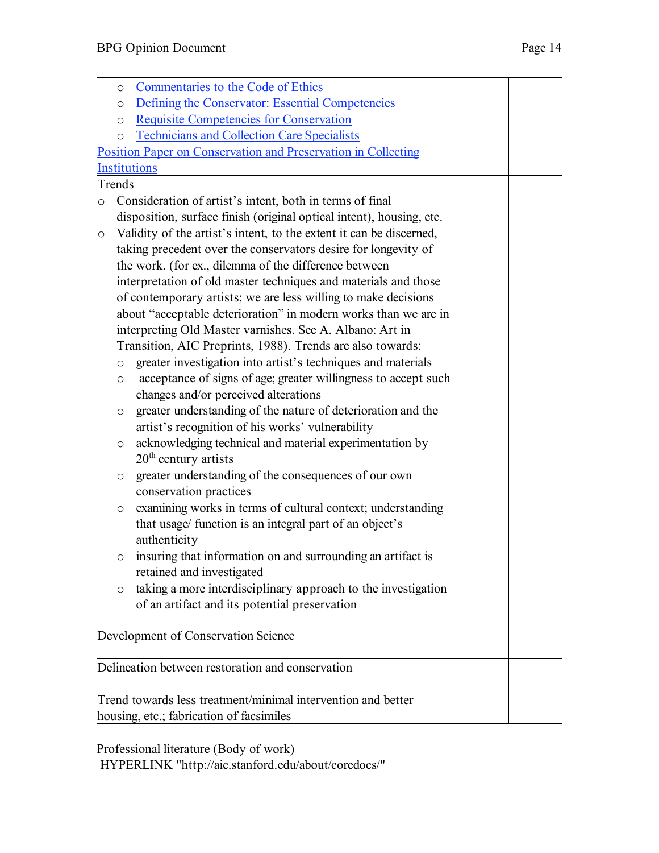|         | $\circ$ | Commentaries to the Code of Ethics                                   |  |
|---------|---------|----------------------------------------------------------------------|--|
|         | $\circ$ | Defining the Conservator: Essential Competencies                     |  |
|         | $\circ$ | <b>Requisite Competencies for Conservation</b>                       |  |
|         | $\circ$ | <b>Technicians and Collection Care Specialists</b>                   |  |
|         |         | Position Paper on Conservation and Preservation in Collecting        |  |
|         |         | <b>Institutions</b>                                                  |  |
| Trends  |         |                                                                      |  |
| $\circ$ |         | Consideration of artist's intent, both in terms of final             |  |
|         |         | disposition, surface finish (original optical intent), housing, etc. |  |
| $\circ$ |         | Validity of the artist's intent, to the extent it can be discerned,  |  |
|         |         | taking precedent over the conservators desire for longevity of       |  |
|         |         | the work. (for ex., dilemma of the difference between                |  |
|         |         | interpretation of old master techniques and materials and those      |  |
|         |         | of contemporary artists; we are less willing to make decisions       |  |
|         |         | about "acceptable deterioration" in modern works than we are in      |  |
|         |         | interpreting Old Master varnishes. See A. Albano: Art in             |  |
|         |         | Transition, AIC Preprints, 1988). Trends are also towards:           |  |
|         | $\circ$ | greater investigation into artist's techniques and materials         |  |
|         | $\circ$ | acceptance of signs of age; greater willingness to accept such       |  |
|         |         | changes and/or perceived alterations                                 |  |
|         | $\circ$ | greater understanding of the nature of deterioration and the         |  |
|         |         | artist's recognition of his works' vulnerability                     |  |
|         | $\circ$ | acknowledging technical and material experimentation by              |  |
|         |         | $20th$ century artists                                               |  |
|         | $\circ$ | greater understanding of the consequences of our own                 |  |
|         |         | conservation practices                                               |  |
|         | $\circ$ | examining works in terms of cultural context; understanding          |  |
|         |         | that usage/ function is an integral part of an object's              |  |
|         |         | authenticity                                                         |  |
|         |         | o insuring that information on and surrounding an artifact is        |  |
|         |         | retained and investigated                                            |  |
|         | $\circ$ | taking a more interdisciplinary approach to the investigation        |  |
|         |         | of an artifact and its potential preservation                        |  |
|         |         |                                                                      |  |
|         |         | Development of Conservation Science                                  |  |
|         |         | Delineation between restoration and conservation                     |  |
|         |         |                                                                      |  |
|         |         | Trend towards less treatment/minimal intervention and better         |  |
|         |         | housing, etc.; fabrication of facsimiles                             |  |
|         |         |                                                                      |  |

Professional literature (Body of work) HYPERLINK "http://aic.stanford.edu/about/coredocs/"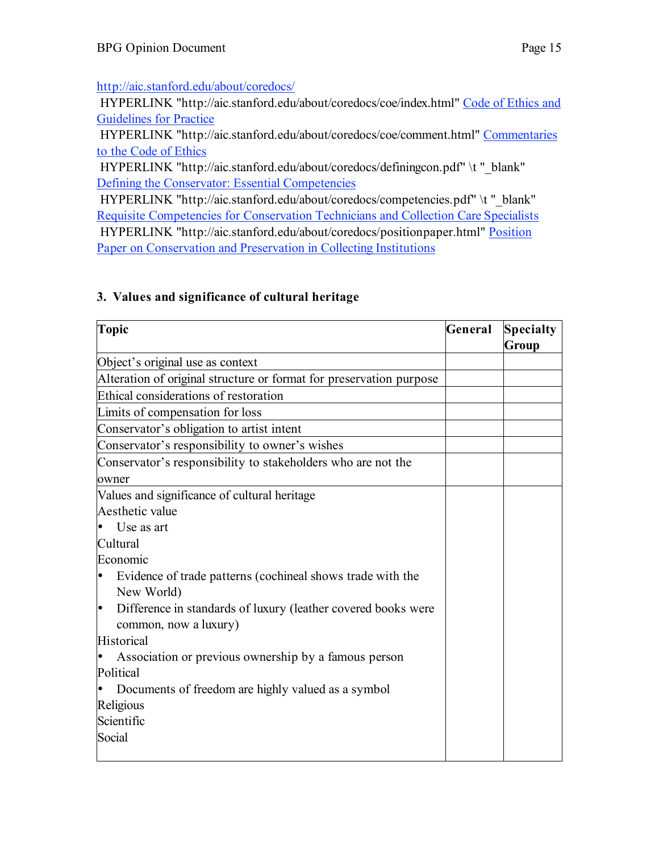#### http://aic.stanford.edu/about/coredocs/

 HYPERLINK "http://aic.stanford.edu/about/coredocs/coe/index.html" Code of Ethics and Guidelines for Practice

 HYPERLINK "http://aic.stanford.edu/about/coredocs/coe/comment.html" Commentaries to the Code of Ethics

HYPERLINK "http://aic.stanford.edu/about/coredocs/definingcon.pdf" \t "\_blank" Defining the Conservator: Essential Competencies

HYPERLINK "http://aic.stanford.edu/about/coredocs/competencies.pdf" \t "\_blank" Requisite Competencies for Conservation Technicians and Collection Care Specialists HYPERLINK "http://aic.stanford.edu/about/coredocs/positionpaper.html" Position Paper on Conservation and Preservation in Collecting Institutions

#### **3. Values and significance of cultural heritage**

| <b>Topic</b>                                                                                | General | <b>Specialty</b><br>Group |
|---------------------------------------------------------------------------------------------|---------|---------------------------|
| Object's original use as context                                                            |         |                           |
| Alteration of original structure or format for preservation purpose                         |         |                           |
| Ethical considerations of restoration                                                       |         |                           |
| Limits of compensation for loss                                                             |         |                           |
| Conservator's obligation to artist intent                                                   |         |                           |
| Conservator's responsibility to owner's wishes                                              |         |                           |
| Conservator's responsibility to stakeholders who are not the                                |         |                           |
| owner                                                                                       |         |                           |
| Values and significance of cultural heritage                                                |         |                           |
| Aesthetic value                                                                             |         |                           |
| Use as art                                                                                  |         |                           |
| Cultural                                                                                    |         |                           |
| Economic                                                                                    |         |                           |
| Evidence of trade patterns (cochineal shows trade with the<br>lo<br>New World)              |         |                           |
| ŀ<br>Difference in standards of luxury (leather covered books were<br>common, now a luxury) |         |                           |
| Historical                                                                                  |         |                           |
| Association or previous ownership by a famous person                                        |         |                           |
| Political                                                                                   |         |                           |
| Documents of freedom are highly valued as a symbol<br>∙                                     |         |                           |
| Religious                                                                                   |         |                           |
| Scientific                                                                                  |         |                           |
| Social                                                                                      |         |                           |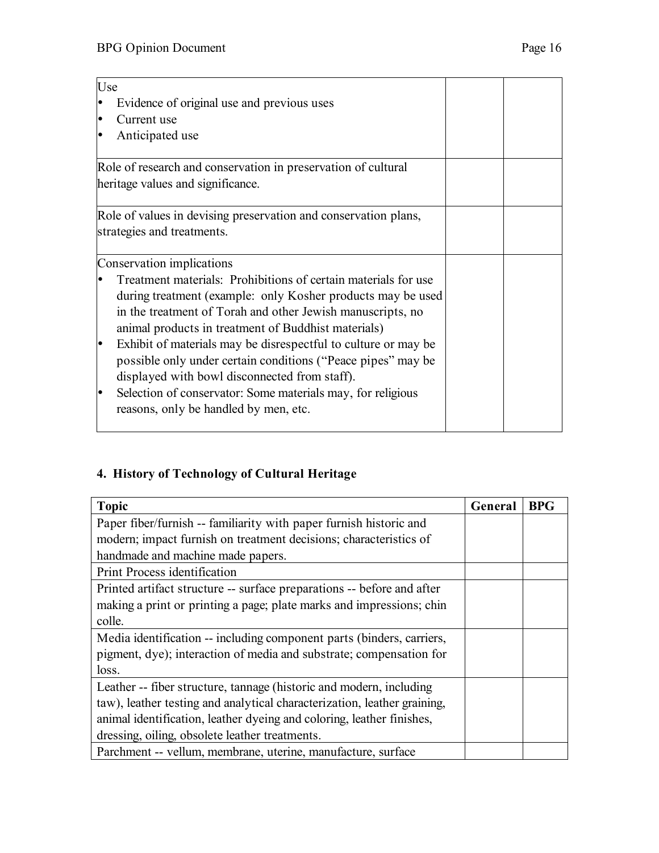| Use                                                                         |  |
|-----------------------------------------------------------------------------|--|
| Evidence of original use and previous uses<br>lo                            |  |
| Current use<br>lo                                                           |  |
|                                                                             |  |
| Anticipated use<br>$\bullet$                                                |  |
| Role of research and conservation in preservation of cultural               |  |
| heritage values and significance.                                           |  |
| Role of values in devising preservation and conservation plans,             |  |
| strategies and treatments.                                                  |  |
| Conservation implications                                                   |  |
| Treatment materials: Prohibitions of certain materials for use<br>$\bullet$ |  |
| during treatment (example: only Kosher products may be used                 |  |
| in the treatment of Torah and other Jewish manuscripts, no                  |  |
| animal products in treatment of Buddhist materials)                         |  |
| Exhibit of materials may be disrespectful to culture or may be<br>þ         |  |
| possible only under certain conditions ("Peace pipes" may be                |  |
| displayed with bowl disconnected from staff).                               |  |
| Selection of conservator: Some materials may, for religious<br>۱۰           |  |
|                                                                             |  |
| reasons, only be handled by men, etc.                                       |  |
|                                                                             |  |

# **4. History of Technology of Cultural Heritage**

| <b>Topic</b>                                                             | General | <b>BPG</b> |
|--------------------------------------------------------------------------|---------|------------|
| Paper fiber/furnish -- familiarity with paper furnish historic and       |         |            |
| modern; impact furnish on treatment decisions; characteristics of        |         |            |
| handmade and machine made papers.                                        |         |            |
| Print Process identification                                             |         |            |
| Printed artifact structure -- surface preparations -- before and after   |         |            |
| making a print or printing a page; plate marks and impressions; chin     |         |            |
| colle.                                                                   |         |            |
| Media identification -- including component parts (binders, carriers,    |         |            |
| pigment, dye); interaction of media and substrate; compensation for      |         |            |
| loss.                                                                    |         |            |
| Leather -- fiber structure, tannage (historic and modern, including      |         |            |
| taw), leather testing and analytical characterization, leather graining, |         |            |
| animal identification, leather dyeing and coloring, leather finishes,    |         |            |
| dressing, oiling, obsolete leather treatments.                           |         |            |
| Parchment -- vellum, membrane, uterine, manufacture, surface             |         |            |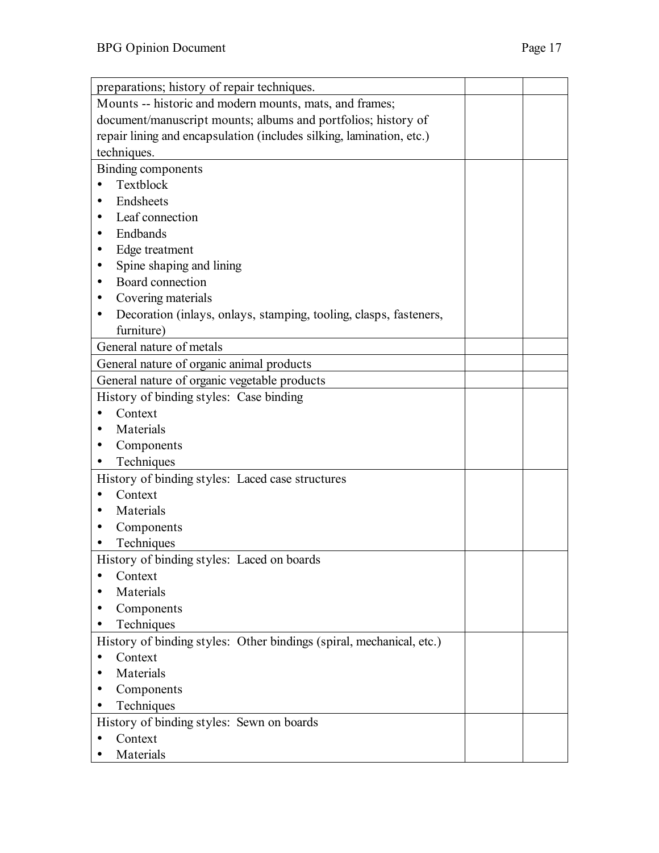| preparations; history of repair techniques.                            |  |
|------------------------------------------------------------------------|--|
| Mounts -- historic and modern mounts, mats, and frames;                |  |
| document/manuscript mounts; albums and portfolios; history of          |  |
|                                                                        |  |
| repair lining and encapsulation (includes silking, lamination, etc.)   |  |
| techniques.                                                            |  |
| Binding components                                                     |  |
| Textblock                                                              |  |
| Endsheets                                                              |  |
| Leaf connection<br>٠                                                   |  |
| Endbands<br>$\bullet$                                                  |  |
| Edge treatment                                                         |  |
| Spine shaping and lining                                               |  |
| Board connection                                                       |  |
| Covering materials<br>٠                                                |  |
| Decoration (inlays, onlays, stamping, tooling, clasps, fasteners,<br>٠ |  |
| furniture)                                                             |  |
| General nature of metals                                               |  |
| General nature of organic animal products                              |  |
| General nature of organic vegetable products                           |  |
| History of binding styles: Case binding                                |  |
| Context                                                                |  |
| Materials                                                              |  |
| Components                                                             |  |
| Techniques                                                             |  |
| History of binding styles: Laced case structures                       |  |
| Context                                                                |  |
| Materials                                                              |  |
|                                                                        |  |
| Components                                                             |  |
| Techniques                                                             |  |
| History of binding styles: Laced on boards                             |  |
| Context                                                                |  |
| Materials                                                              |  |
| Components                                                             |  |
| Techniques                                                             |  |
| History of binding styles: Other bindings (spiral, mechanical, etc.)   |  |
| Context<br>٠                                                           |  |
| Materials                                                              |  |
| Components                                                             |  |
| Techniques                                                             |  |
| History of binding styles: Sewn on boards                              |  |
| Context                                                                |  |
| Materials                                                              |  |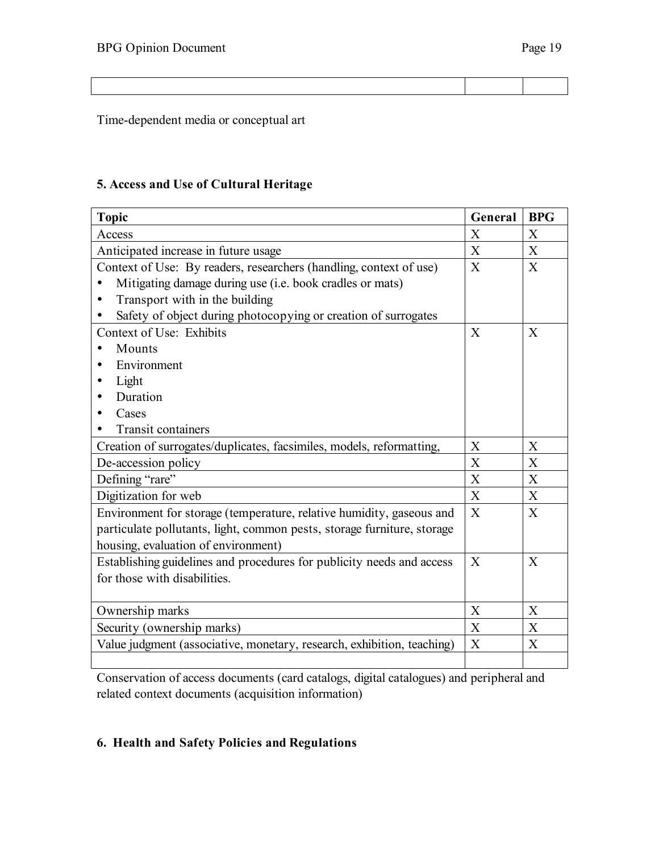Time-dependent media or conceptual art

#### **5. Access and Use of Cultural Heritage**

| <b>Topic</b>                                                            | General          | <b>BPG</b>     |
|-------------------------------------------------------------------------|------------------|----------------|
| Access                                                                  | $\mathbf{X}$     | $\mathbf{X}$   |
| Anticipated increase in future usage                                    | X                | X              |
| Context of Use: By readers, researchers (handling, context of use)      | X                | $\mathbf{X}$   |
| Mitigating damage during use (i.e. book cradles or mats)                |                  |                |
| Transport with in the building                                          |                  |                |
| Safety of object during photocopying or creation of surrogates          |                  |                |
| Context of Use: Exhibits                                                | $\mathbf{X}$     | X              |
| Mounts                                                                  |                  |                |
| Environment                                                             |                  |                |
| Light                                                                   |                  |                |
| Duration                                                                |                  |                |
| Cases                                                                   |                  |                |
| <b>Transit containers</b>                                               |                  |                |
| Creation of surrogates/duplicates, facsimiles, models, reformatting,    | $\boldsymbol{X}$ | X              |
| De-accession policy                                                     | X                | X              |
| Defining "rare"                                                         | X                | X              |
| Digitization for web                                                    | $\boldsymbol{X}$ | X              |
| Environment for storage (temperature, relative humidity, gaseous and    | X                | X              |
| particulate pollutants, light, common pests, storage furniture, storage |                  |                |
| housing, evaluation of environment)                                     |                  |                |
| Establishing guidelines and procedures for publicity needs and access   | $\overline{X}$   | $\overline{X}$ |
| for those with disabilities.                                            |                  |                |
|                                                                         |                  |                |
| Ownership marks                                                         | X                | X              |
| Security (ownership marks)                                              | X                | X              |
| Value judgment (associative, monetary, research, exhibition, teaching)  | $\boldsymbol{X}$ | X              |
|                                                                         |                  |                |

Conservation of access documents (card catalogs, digital catalogues) and peripheral and related context documents (acquisition information)

## **6. Health and Safety Policies and Regulations**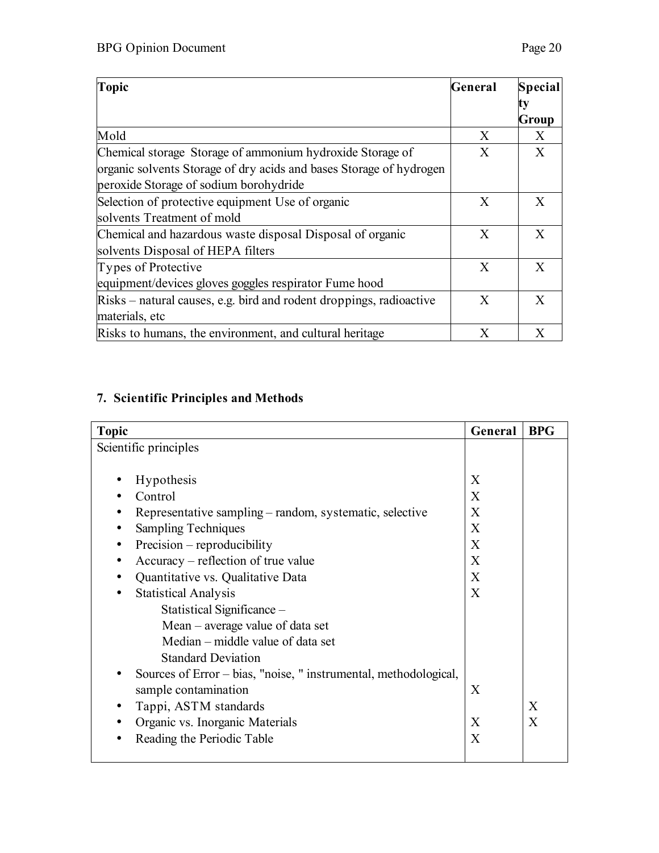| <b>Topic</b>                                                                                                                                                               | General | <b>Special</b> |
|----------------------------------------------------------------------------------------------------------------------------------------------------------------------------|---------|----------------|
|                                                                                                                                                                            |         | Group          |
| Mold                                                                                                                                                                       | X       | X              |
| Chemical storage Storage of ammonium hydroxide Storage of<br>organic solvents Storage of dry acids and bases Storage of hydrogen<br>peroxide Storage of sodium borohydride | X       | X              |
| Selection of protective equipment Use of organic<br>solvents Treatment of mold                                                                                             | X       | X              |
| Chemical and hazardous waste disposal Disposal of organic<br>solvents Disposal of HEPA filters                                                                             | X       | X              |
| Types of Protective<br>equipment/devices gloves goggles respirator Fume hood                                                                                               | X       | X              |
| Risks – natural causes, e.g. bird and rodent droppings, radioactive<br>materials, etc                                                                                      | X       | X              |
| Risks to humans, the environment, and cultural heritage                                                                                                                    | Χ       | X              |

# **7. Scientific Principles and Methods**

| <b>Topic</b>                                                     | General | <b>BPG</b> |
|------------------------------------------------------------------|---------|------------|
| Scientific principles                                            |         |            |
|                                                                  |         |            |
| Hypothesis                                                       | X       |            |
| Control                                                          | X       |            |
| Representative sampling – random, systematic, selective          | X       |            |
| <b>Sampling Techniques</b>                                       | X       |            |
| Precision – reproducibility<br>٠                                 | X       |            |
| Accuracy – reflection of true value                              | X       |            |
| Quantitative vs. Qualitative Data                                | X       |            |
| <b>Statistical Analysis</b>                                      | X       |            |
| Statistical Significance -                                       |         |            |
| Mean - average value of data set                                 |         |            |
| Median – middle value of data set                                |         |            |
| <b>Standard Deviation</b>                                        |         |            |
| Sources of Error – bias, "noise, " instrumental, methodological, |         |            |
| sample contamination                                             | X       |            |
| Tappi, ASTM standards                                            |         | X          |
| Organic vs. Inorganic Materials                                  | X       | X          |
| Reading the Periodic Table                                       | X       |            |
|                                                                  |         |            |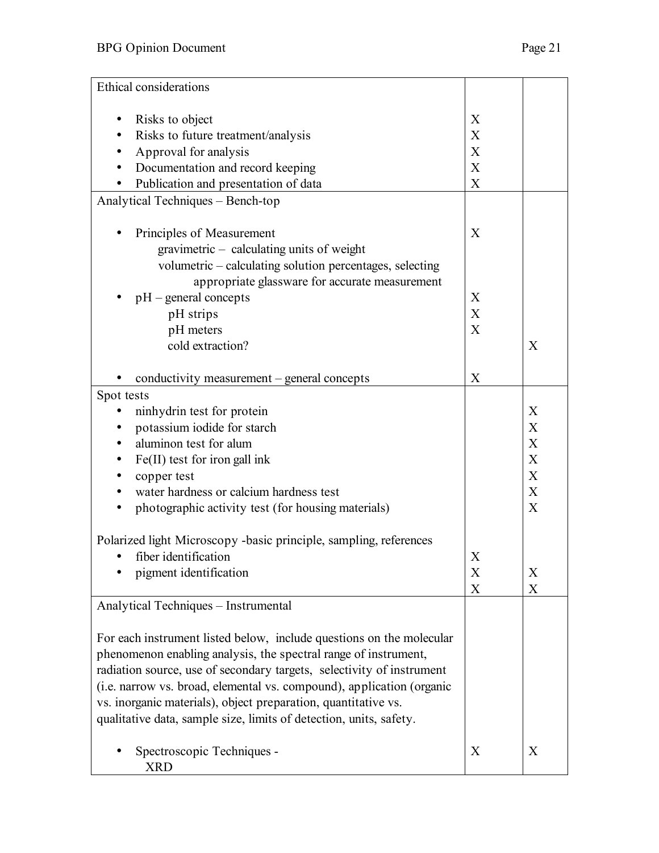| Ethical considerations                                                |                           |   |
|-----------------------------------------------------------------------|---------------------------|---|
|                                                                       |                           |   |
| Risks to object                                                       | X                         |   |
| Risks to future treatment/analysis                                    | X                         |   |
| Approval for analysis                                                 | $\boldsymbol{\mathrm{X}}$ |   |
| Documentation and record keeping                                      | X                         |   |
| Publication and presentation of data                                  | $\mathbf X$               |   |
| Analytical Techniques - Bench-top                                     |                           |   |
| Principles of Measurement                                             | X                         |   |
| gravimetric - calculating units of weight                             |                           |   |
| volumetric - calculating solution percentages, selecting              |                           |   |
| appropriate glassware for accurate measurement                        |                           |   |
| $pH$ – general concepts                                               | X                         |   |
| pH strips                                                             | X                         |   |
| pH meters                                                             | X                         |   |
| cold extraction?                                                      |                           | X |
|                                                                       |                           |   |
| conductivity measurement – general concepts                           | $\boldsymbol{X}$          |   |
| Spot tests                                                            |                           |   |
| ninhydrin test for protein                                            |                           | X |
| potassium iodide for starch                                           |                           | X |
| aluminon test for alum                                                |                           | X |
| Fe(II) test for iron gall ink                                         |                           | X |
| copper test                                                           |                           | X |
| water hardness or calcium hardness test                               |                           | X |
| photographic activity test (for housing materials)<br>$\bullet$       |                           | X |
|                                                                       |                           |   |
| Polarized light Microscopy -basic principle, sampling, references     |                           |   |
| • fiber identification                                                | X                         |   |
| pigment identification                                                | X                         | X |
| Analytical Techniques - Instrumental                                  | $\boldsymbol{X}$          | X |
|                                                                       |                           |   |
| For each instrument listed below, include questions on the molecular  |                           |   |
| phenomenon enabling analysis, the spectral range of instrument,       |                           |   |
| radiation source, use of secondary targets, selectivity of instrument |                           |   |
| (i.e. narrow vs. broad, elemental vs. compound), application (organic |                           |   |
| vs. inorganic materials), object preparation, quantitative vs.        |                           |   |
| qualitative data, sample size, limits of detection, units, safety.    |                           |   |
| Spectroscopic Techniques -                                            | X                         | X |
| <b>XRD</b>                                                            |                           |   |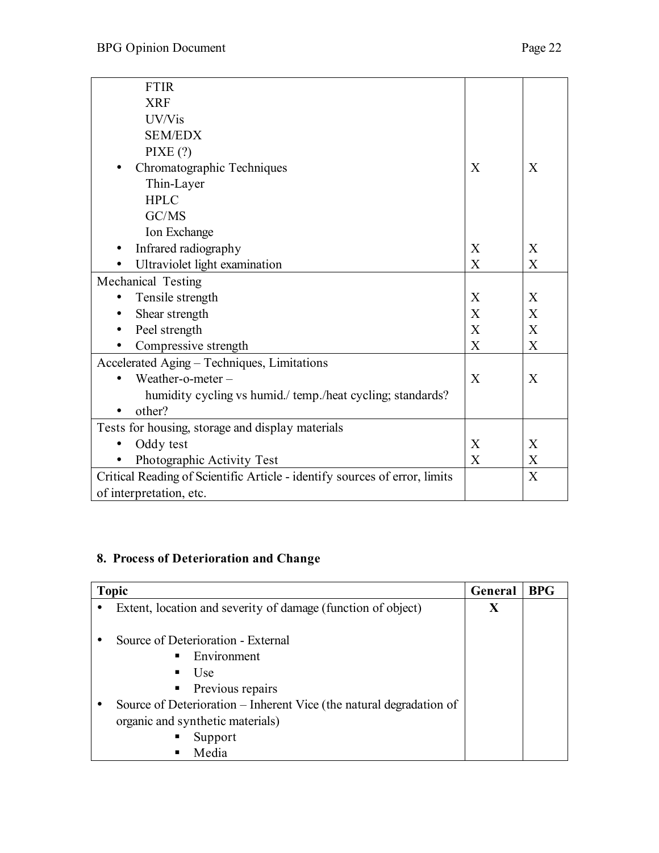| <b>FTIR</b>                                                                |                           |                |
|----------------------------------------------------------------------------|---------------------------|----------------|
| <b>XRF</b>                                                                 |                           |                |
| UV/Vis                                                                     |                           |                |
| <b>SEM/EDX</b>                                                             |                           |                |
| PIXE(?)                                                                    |                           |                |
| Chromatographic Techniques                                                 | X                         | $\overline{X}$ |
| Thin-Layer                                                                 |                           |                |
| <b>HPLC</b>                                                                |                           |                |
| GC/MS                                                                      |                           |                |
| Ion Exchange                                                               |                           |                |
| Infrared radiography                                                       | X                         | X              |
| Ultraviolet light examination                                              | X                         | X              |
| Mechanical Testing                                                         |                           |                |
| Tensile strength                                                           | X                         | X              |
| Shear strength                                                             | $\boldsymbol{\mathrm{X}}$ | $\mathbf{X}$   |
| Peel strength                                                              | $\boldsymbol{\mathrm{X}}$ | $\mathbf{X}$   |
| Compressive strength                                                       | X                         | X              |
| Accelerated Aging - Techniques, Limitations                                |                           |                |
| Weather-o-meter-                                                           | X                         | $\mathbf{X}$   |
| humidity cycling vs humid./ temp./heat cycling; standards?                 |                           |                |
| other?                                                                     |                           |                |
| Tests for housing, storage and display materials                           |                           |                |
| Oddy test                                                                  | X                         | X              |
| Photographic Activity Test                                                 | X                         | X              |
| Critical Reading of Scientific Article - identify sources of error, limits |                           | X              |
| of interpretation, etc.                                                    |                           |                |

# **8. Process of Deterioration and Change**

| <b>Topic</b>                                                        | General | <b>BPG</b> |
|---------------------------------------------------------------------|---------|------------|
| Extent, location and severity of damage (function of object)        | X       |            |
|                                                                     |         |            |
| Source of Deterioration - External                                  |         |            |
| Environment<br>$\blacksquare$                                       |         |            |
| Use<br>п                                                            |         |            |
| • Previous repairs                                                  |         |            |
| Source of Deterioration – Inherent Vice (the natural degradation of |         |            |
| organic and synthetic materials)                                    |         |            |
| п<br>Support                                                        |         |            |
| Media<br>п                                                          |         |            |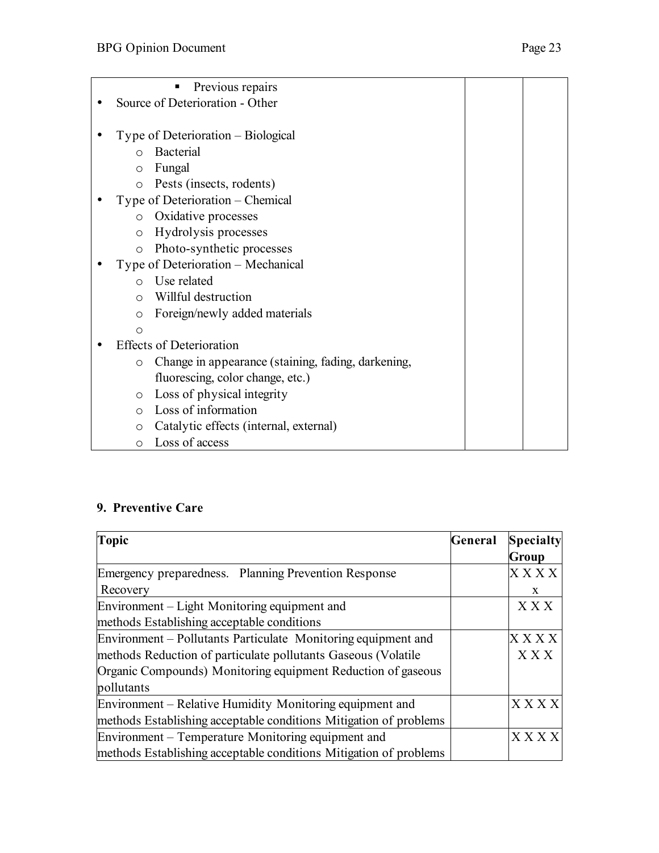| Previous repairs                                              |  |
|---------------------------------------------------------------|--|
| Source of Deterioration - Other                               |  |
|                                                               |  |
| Type of Deterioration – Biological                            |  |
| <b>Bacterial</b><br>$\Omega$                                  |  |
| Fungal<br>$\circ$                                             |  |
| Pests (insects, rodents)<br>$\circ$                           |  |
| Type of Deterioration – Chemical                              |  |
| Oxidative processes<br>$\circ$                                |  |
| Hydrolysis processes<br>$\circ$                               |  |
| Photo-synthetic processes<br>$\circ$                          |  |
| Type of Deterioration – Mechanical                            |  |
| Use related<br>$\Omega$                                       |  |
| Willful destruction<br>$\bigcirc$                             |  |
| Foreign/newly added materials<br>$\circ$                      |  |
| $\circ$                                                       |  |
| <b>Effects of Deterioration</b>                               |  |
| Change in appearance (staining, fading, darkening,<br>$\circ$ |  |
| fluorescing, color change, etc.)                              |  |
| Loss of physical integrity<br>$\circ$                         |  |
| Loss of information<br>$\bigcirc$                             |  |
| Catalytic effects (internal, external)<br>$\circ$             |  |
| Loss of access<br>$\circ$                                     |  |

## **9. Preventive Care**

| <b>Topic</b>                                                      | General | <b>Specialty</b> |
|-------------------------------------------------------------------|---------|------------------|
|                                                                   |         | Group            |
| Emergency preparedness. Planning Prevention Response              |         | $X$ $X$ $X$ $X$  |
| Recovery                                                          |         | X                |
| Environment – Light Monitoring equipment and                      |         | X X X            |
| methods Establishing acceptable conditions                        |         |                  |
| Environment – Pollutants Particulate Monitoring equipment and     |         | $X$ $X$ $X$ $X$  |
| methods Reduction of particulate pollutants Gaseous (Volatile     |         | X X X            |
| Organic Compounds) Monitoring equipment Reduction of gaseous      |         |                  |
| pollutants                                                        |         |                  |
| Environment - Relative Humidity Monitoring equipment and          |         | <b>XXXX</b>      |
| methods Establishing acceptable conditions Mitigation of problems |         |                  |
| Environment – Temperature Monitoring equipment and                |         | <b>XXXX</b>      |
| methods Establishing acceptable conditions Mitigation of problems |         |                  |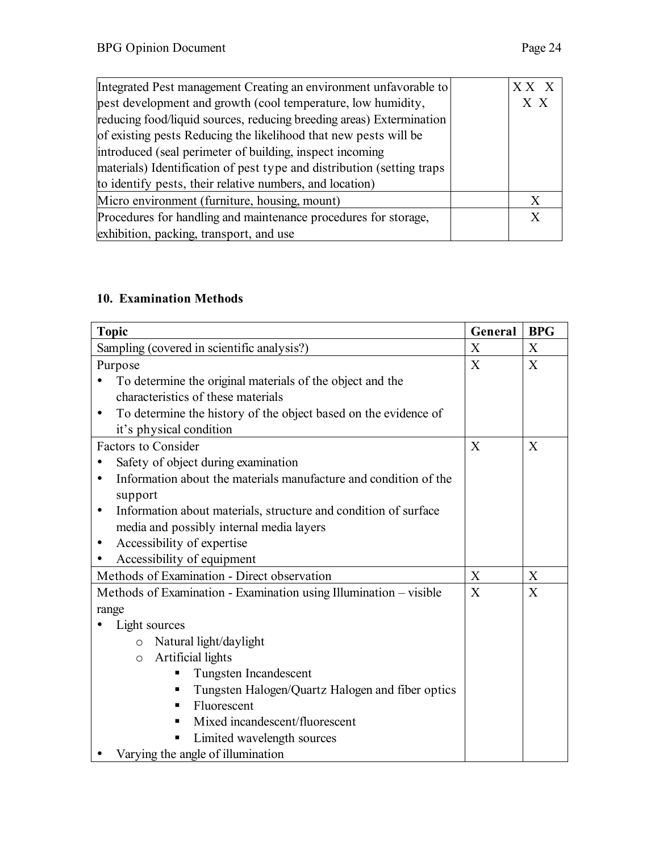| Integrated Pest management Creating an environment unfavorable to      | XX X |
|------------------------------------------------------------------------|------|
| pest development and growth (cool temperature, low humidity,           | X X  |
| reducing food/liquid sources, reducing breeding areas) Extermination   |      |
| of existing pests Reducing the likelihood that new pests will be       |      |
| introduced (seal perimeter of building, inspect incoming               |      |
| materials) Identification of pest type and distribution (setting traps |      |
| to identify pests, their relative numbers, and location)               |      |
| Micro environment (furniture, housing, mount)                          | X    |
| Procedures for handling and maintenance procedures for storage,        | X    |
| exhibition, packing, transport, and use                                |      |
|                                                                        |      |

## **10. Examination Methods**

| <b>Topic</b>                                                                  | General | <b>BPG</b> |
|-------------------------------------------------------------------------------|---------|------------|
| Sampling (covered in scientific analysis?)                                    | X       | X          |
| Purpose                                                                       | X       | X          |
| To determine the original materials of the object and the                     |         |            |
| characteristics of these materials                                            |         |            |
| To determine the history of the object based on the evidence of<br>$\bullet$  |         |            |
| it's physical condition                                                       |         |            |
| <b>Factors to Consider</b>                                                    | X       | X          |
| Safety of object during examination                                           |         |            |
| Information about the materials manufacture and condition of the<br>$\bullet$ |         |            |
| support                                                                       |         |            |
| Information about materials, structure and condition of surface<br>$\bullet$  |         |            |
| media and possibly internal media layers                                      |         |            |
| Accessibility of expertise<br>$\bullet$                                       |         |            |
| Accessibility of equipment<br>٠                                               |         |            |
| Methods of Examination - Direct observation                                   | X       | X          |
| Methods of Examination - Examination using Illumination - visible             | X       | X          |
| range                                                                         |         |            |
| Light sources                                                                 |         |            |
| Natural light/daylight<br>$\circ$                                             |         |            |
| Artificial lights<br>$\circ$                                                  |         |            |
| Tungsten Incandescent                                                         |         |            |
| Tungsten Halogen/Quartz Halogen and fiber optics<br>ш                         |         |            |
| Fluorescent<br>п                                                              |         |            |
| Mixed incandescent/fluorescent                                                |         |            |
| Limited wavelength sources                                                    |         |            |
| Varying the angle of illumination                                             |         |            |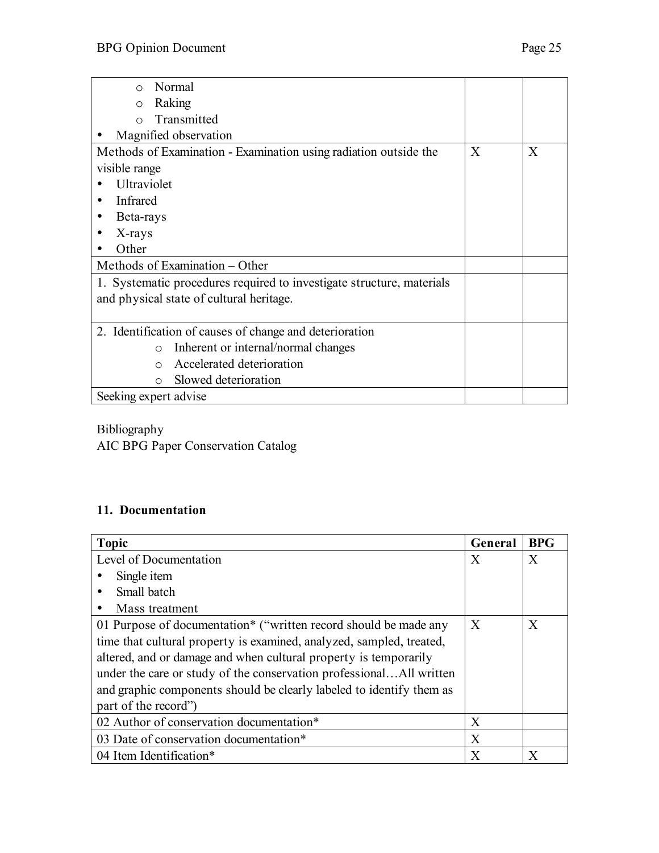| Normal<br>$\bigcap$                                                   |   |   |
|-----------------------------------------------------------------------|---|---|
| Raking<br>$\circ$                                                     |   |   |
| Transmitted<br>$\bigcap$                                              |   |   |
|                                                                       |   |   |
| Magnified observation                                                 |   |   |
| Methods of Examination - Examination using radiation outside the      | X | X |
| visible range                                                         |   |   |
| Ultraviolet                                                           |   |   |
| Infrared                                                              |   |   |
| Beta-rays                                                             |   |   |
| X-rays                                                                |   |   |
| Other                                                                 |   |   |
| Methods of Examination – Other                                        |   |   |
| 1. Systematic procedures required to investigate structure, materials |   |   |
| and physical state of cultural heritage.                              |   |   |
|                                                                       |   |   |
| 2. Identification of causes of change and deterioration               |   |   |
| Inherent or internal/normal changes<br>$\circ$                        |   |   |
| Accelerated deterioration<br>$\bigcap$                                |   |   |
| Slowed deterioration<br>$\bigcirc$                                    |   |   |
| Seeking expert advise                                                 |   |   |
|                                                                       |   |   |

Bibliography

AIC BPG Paper Conservation Catalog

#### **11. Documentation**

| <b>Topic</b>                                                         | General          | <b>BPG</b> |
|----------------------------------------------------------------------|------------------|------------|
| Level of Documentation                                               | X                | X          |
| Single item                                                          |                  |            |
| Small batch                                                          |                  |            |
| Mass treatment                                                       |                  |            |
| 01 Purpose of documentation* ("written record should be made any     | $\boldsymbol{X}$ | X          |
| time that cultural property is examined, analyzed, sampled, treated, |                  |            |
| altered, and or damage and when cultural property is temporarily     |                  |            |
| under the care or study of the conservation professionalAll written  |                  |            |
| and graphic components should be clearly labeled to identify them as |                  |            |
| part of the record"                                                  |                  |            |
| 02 Author of conservation documentation*                             | X                |            |
| 03 Date of conservation documentation*                               | X                |            |
| 04 Item Identification*                                              | X                | X          |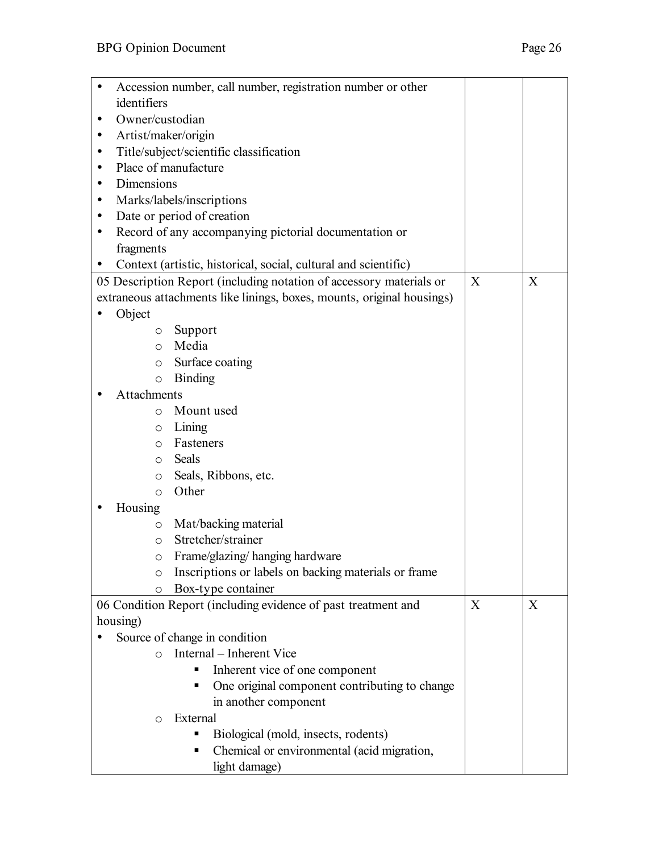| Accession number, call number, registration number or other            |   |   |  |  |
|------------------------------------------------------------------------|---|---|--|--|
| identifiers                                                            |   |   |  |  |
| Owner/custodian<br>$\bullet$                                           |   |   |  |  |
| Artist/maker/origin<br>٠                                               |   |   |  |  |
| Title/subject/scientific classification<br>$\bullet$                   |   |   |  |  |
| Place of manufacture<br>$\bullet$                                      |   |   |  |  |
| Dimensions<br>$\bullet$                                                |   |   |  |  |
| Marks/labels/inscriptions<br>٠                                         |   |   |  |  |
| Date or period of creation<br>$\bullet$                                |   |   |  |  |
| Record of any accompanying pictorial documentation or<br>٠             |   |   |  |  |
| fragments                                                              |   |   |  |  |
| Context (artistic, historical, social, cultural and scientific)        |   |   |  |  |
| 05 Description Report (including notation of accessory materials or    | X | X |  |  |
| extraneous attachments like linings, boxes, mounts, original housings) |   |   |  |  |
| Object                                                                 |   |   |  |  |
| Support<br>O                                                           |   |   |  |  |
| Media<br>$\circ$                                                       |   |   |  |  |
| Surface coating<br>$\circ$                                             |   |   |  |  |
| <b>Binding</b><br>$\circ$                                              |   |   |  |  |
| Attachments                                                            |   |   |  |  |
| Mount used<br>$\circ$                                                  |   |   |  |  |
| Lining<br>O                                                            |   |   |  |  |
| Fasteners<br>O                                                         |   |   |  |  |
| Seals<br>$\circ$                                                       |   |   |  |  |
| Seals, Ribbons, etc.<br>O                                              |   |   |  |  |
| Other<br>$\circ$                                                       |   |   |  |  |
| Housing<br>$\bullet$                                                   |   |   |  |  |
| Mat/backing material<br>$\circ$                                        |   |   |  |  |
| Stretcher/strainer<br>$\circ$                                          |   |   |  |  |
| Frame/glazing/hanging hardware<br>$\circ$                              |   |   |  |  |
| Inscriptions or labels on backing materials or frame<br>O              |   |   |  |  |
| Box-type container<br>O                                                |   |   |  |  |
| 06 Condition Report (including evidence of past treatment and          | X | X |  |  |
| housing)                                                               |   |   |  |  |
| Source of change in condition                                          |   |   |  |  |
| Internal - Inherent Vice<br>$\Omega$                                   |   |   |  |  |
| Inherent vice of one component                                         |   |   |  |  |
| One original component contributing to change<br>п                     |   |   |  |  |
| in another component                                                   |   |   |  |  |
| External<br>$\circ$                                                    |   |   |  |  |
| Biological (mold, insects, rodents)                                    |   |   |  |  |
| Chemical or environmental (acid migration,                             |   |   |  |  |
| light damage)                                                          |   |   |  |  |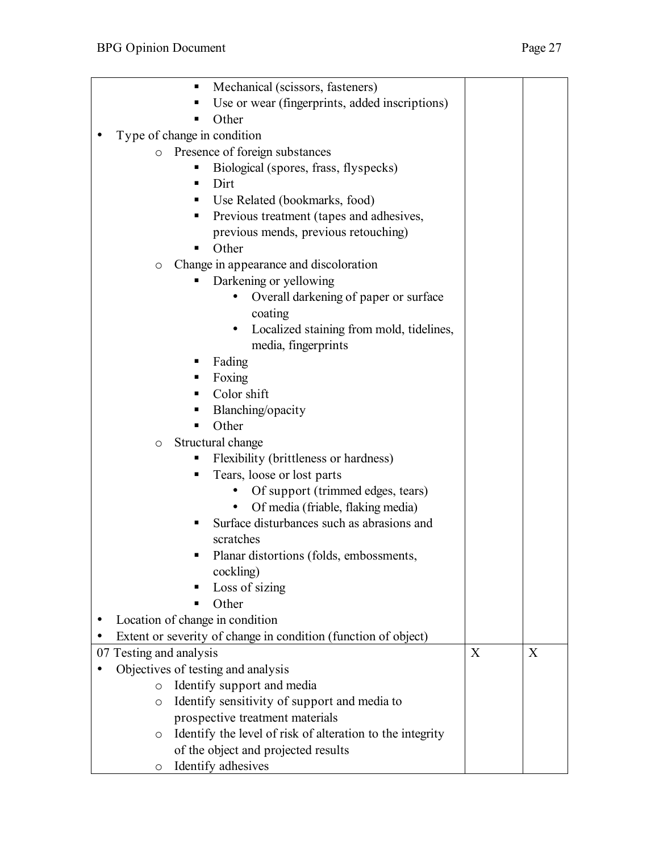| Mechanical (scissors, fasteners)<br>П                                |   |   |
|----------------------------------------------------------------------|---|---|
| Use or wear (fingerprints, added inscriptions)                       |   |   |
| Other                                                                |   |   |
| Type of change in condition                                          |   |   |
| Presence of foreign substances<br>$\circ$                            |   |   |
| Biological (spores, frass, flyspecks)                                |   |   |
| Dirt<br>п                                                            |   |   |
| Use Related (bookmarks, food)                                        |   |   |
| Previous treatment (tapes and adhesives,<br>п                        |   |   |
| previous mends, previous retouching)                                 |   |   |
| Other                                                                |   |   |
| Change in appearance and discoloration<br>$\circ$                    |   |   |
| Darkening or yellowing                                               |   |   |
| Overall darkening of paper or surface                                |   |   |
| coating                                                              |   |   |
| Localized staining from mold, tidelines,                             |   |   |
| media, fingerprints                                                  |   |   |
| Fading                                                               |   |   |
| Foxing                                                               |   |   |
| Color shift                                                          |   |   |
| Blanching/opacity                                                    |   |   |
| Other                                                                |   |   |
| Structural change<br>$\circ$                                         |   |   |
| Flexibility (brittleness or hardness)                                |   |   |
| Tears, loose or lost parts<br>п                                      |   |   |
| Of support (trimmed edges, tears)                                    |   |   |
| Of media (friable, flaking media)<br>$\bullet$                       |   |   |
| Surface disturbances such as abrasions and                           |   |   |
| scratches                                                            |   |   |
| Planar distortions (folds, embossments                               |   |   |
| cockling)                                                            |   |   |
| Loss of sizing                                                       |   |   |
| Other                                                                |   |   |
| Location of change in condition                                      |   |   |
| Extent or severity of change in condition (function of object)       |   |   |
| 07 Testing and analysis                                              | X | X |
| Objectives of testing and analysis                                   |   |   |
| Identify support and media<br>$\circ$                                |   |   |
| Identify sensitivity of support and media to<br>$\circ$              |   |   |
| prospective treatment materials                                      |   |   |
| Identify the level of risk of alteration to the integrity<br>$\circ$ |   |   |
| of the object and projected results                                  |   |   |
| Identify adhesives<br>$\circ$                                        |   |   |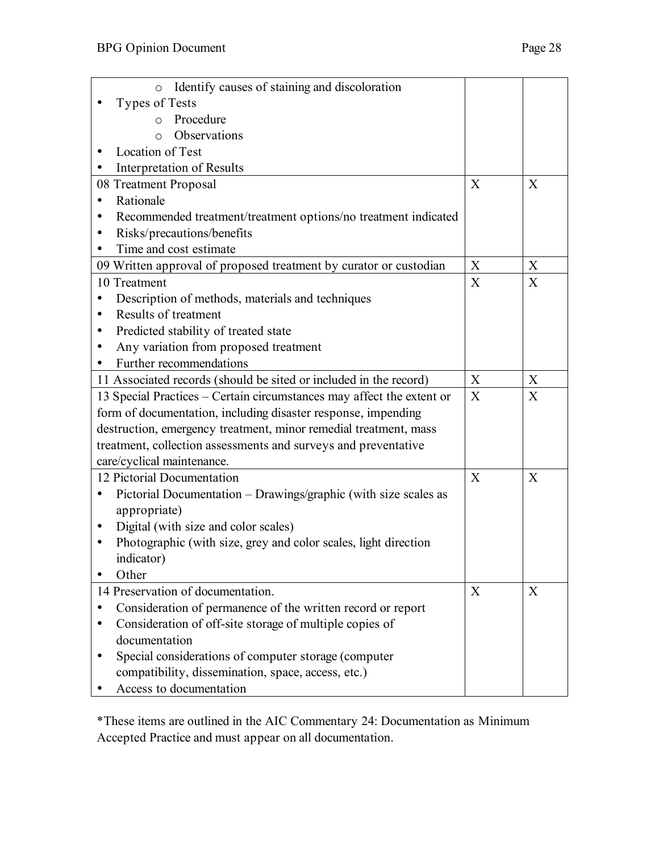| Identify causes of staining and discoloration<br>$\circ$              |              |              |
|-----------------------------------------------------------------------|--------------|--------------|
| <b>Types of Tests</b>                                                 |              |              |
| Procedure<br>$\circ$                                                  |              |              |
| Observations<br>$\Omega$                                              |              |              |
| Location of Test                                                      |              |              |
| Interpretation of Results                                             |              |              |
| 08 Treatment Proposal                                                 | X            | X            |
| Rationale                                                             |              |              |
| Recommended treatment/treatment options/no treatment indicated<br>٠   |              |              |
| Risks/precautions/benefits<br>$\bullet$                               |              |              |
| Time and cost estimate<br>$\bullet$                                   |              |              |
| 09 Written approval of proposed treatment by curator or custodian     | X            | X            |
| 10 Treatment                                                          | X            | X            |
| Description of methods, materials and techniques<br>$\bullet$         |              |              |
| Results of treatment<br>$\bullet$                                     |              |              |
| Predicted stability of treated state<br>٠                             |              |              |
| Any variation from proposed treatment<br>٠                            |              |              |
| Further recommendations                                               |              |              |
| 11 Associated records (should be sited or included in the record)     | X            | X            |
| 13 Special Practices – Certain circumstances may affect the extent or | X            | X            |
| form of documentation, including disaster response, impending         |              |              |
| destruction, emergency treatment, minor remedial treatment, mass      |              |              |
| treatment, collection assessments and surveys and preventative        |              |              |
| care/cyclical maintenance.                                            |              |              |
| 12 Pictorial Documentation                                            | $\mathbf{X}$ | $\mathbf{X}$ |
| Pictorial Documentation – Drawings/graphic (with size scales as<br>٠  |              |              |
| appropriate)                                                          |              |              |
| Digital (with size and color scales)<br>$\bullet$                     |              |              |
| Photographic (with size, grey and color scales, light direction<br>٠  |              |              |
| indicator)                                                            |              |              |
| Other                                                                 |              |              |
| 14 Preservation of documentation.                                     | X            | X            |
| Consideration of permanence of the written record or report           |              |              |
| Consideration of off-site storage of multiple copies of               |              |              |
| documentation                                                         |              |              |
| Special considerations of computer storage (computer                  |              |              |
| compatibility, dissemination, space, access, etc.)                    |              |              |
| Access to documentation                                               |              |              |

\*These items are outlined in the AIC Commentary 24: Documentation as Minimum Accepted Practice and must appear on all documentation.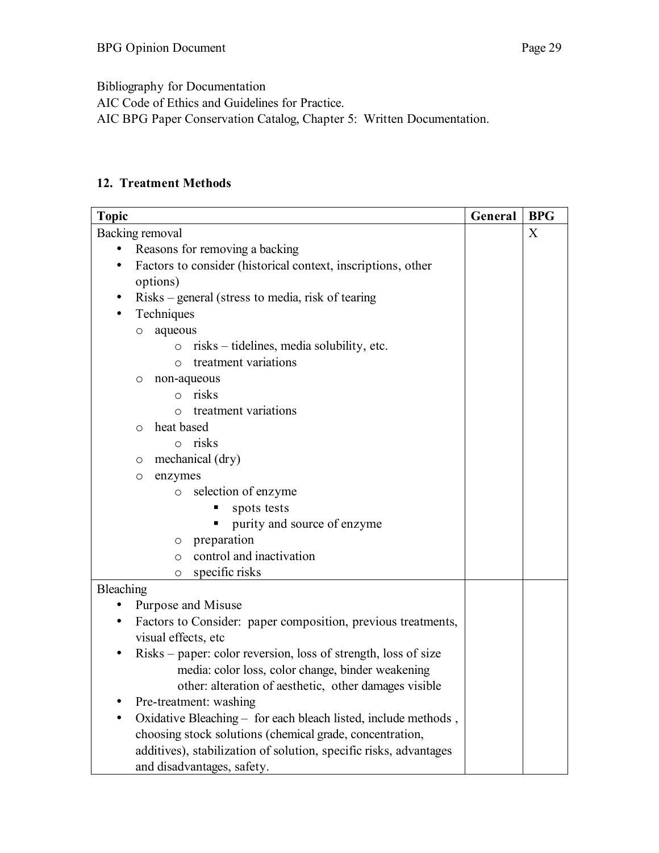Bibliography for Documentation

AIC Code of Ethics and Guidelines for Practice.

AIC BPG Paper Conservation Catalog, Chapter 5: Written Documentation.

#### **12. Treatment Methods**

| <b>Topic</b>                                                                | General | <b>BPG</b> |
|-----------------------------------------------------------------------------|---------|------------|
| Backing removal                                                             |         | X          |
| Reasons for removing a backing                                              |         |            |
| Factors to consider (historical context, inscriptions, other<br>٠           |         |            |
| options)                                                                    |         |            |
| Risks – general (stress to media, risk of tearing<br>$\bullet$              |         |            |
| Techniques                                                                  |         |            |
| aqueous<br>O                                                                |         |            |
| risks – tidelines, media solubility, etc.<br>$\circ$                        |         |            |
| treatment variations<br>$\circ$                                             |         |            |
| non-aqueous<br>O                                                            |         |            |
| risks<br>$\circ$                                                            |         |            |
| treatment variations<br>$\circ$                                             |         |            |
| heat based<br>$\circ$                                                       |         |            |
| $\circ$ risks                                                               |         |            |
| mechanical (dry)<br>O                                                       |         |            |
| enzymes<br>O                                                                |         |            |
| selection of enzyme<br>$\circ$                                              |         |            |
| spots tests                                                                 |         |            |
| purity and source of enzyme                                                 |         |            |
| preparation<br>$\circ$                                                      |         |            |
| control and inactivation<br>$\circ$                                         |         |            |
| specific risks<br>$\circ$                                                   |         |            |
| Bleaching                                                                   |         |            |
| Purpose and Misuse<br>$\bullet$                                             |         |            |
| Factors to Consider: paper composition, previous treatments,<br>٠           |         |            |
| visual effects, etc                                                         |         |            |
| Risks – paper: color reversion, loss of strength, loss of size<br>$\bullet$ |         |            |
| media: color loss, color change, binder weakening                           |         |            |
| other: alteration of aesthetic, other damages visible                       |         |            |
| Pre-treatment: washing                                                      |         |            |
| Oxidative Bleaching - for each bleach listed, include methods,              |         |            |
| choosing stock solutions (chemical grade, concentration,                    |         |            |
| additives), stabilization of solution, specific risks, advantages           |         |            |
| and disadvantages, safety.                                                  |         |            |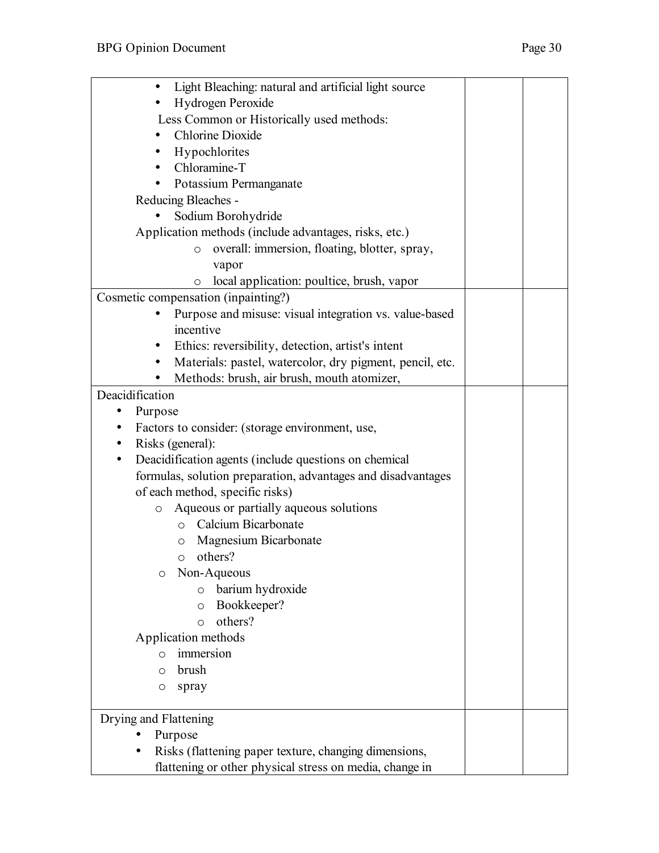| Light Bleaching: natural and artificial light source<br>٠          |  |  |
|--------------------------------------------------------------------|--|--|
| Hydrogen Peroxide                                                  |  |  |
| Less Common or Historically used methods:                          |  |  |
| <b>Chlorine Dioxide</b>                                            |  |  |
| Hypochlorites                                                      |  |  |
| Chloramine-T<br>$\bullet$                                          |  |  |
| Potassium Permanganate<br>$\bullet$                                |  |  |
| Reducing Bleaches -                                                |  |  |
| Sodium Borohydride                                                 |  |  |
| Application methods (include advantages, risks, etc.)              |  |  |
| overall: immersion, floating, blotter, spray,<br>$\circ$           |  |  |
| vapor                                                              |  |  |
| local application: poultice, brush, vapor<br>$\circ$               |  |  |
| Cosmetic compensation (inpainting?)                                |  |  |
| Purpose and misuse: visual integration vs. value-based             |  |  |
| incentive                                                          |  |  |
| Ethics: reversibility, detection, artist's intent<br>٠             |  |  |
| Materials: pastel, watercolor, dry pigment, pencil, etc.<br>٠      |  |  |
| Methods: brush, air brush, mouth atomizer,<br>٠                    |  |  |
| Deacidification                                                    |  |  |
| Purpose<br>$\bullet$                                               |  |  |
| Factors to consider: (storage environment, use,<br>$\bullet$       |  |  |
| Risks (general):<br>$\bullet$                                      |  |  |
| Deacidification agents (include questions on chemical<br>$\bullet$ |  |  |
| formulas, solution preparation, advantages and disadvantages       |  |  |
| of each method, specific risks)                                    |  |  |
| Aqueous or partially aqueous solutions<br>$\circ$                  |  |  |
| Calcium Bicarbonate<br>$\circ$                                     |  |  |
| Magnesium Bicarbonate<br>$\circ$                                   |  |  |
| others?<br>$\circ$                                                 |  |  |
| Non-Aqueous<br>O                                                   |  |  |
| barium hydroxide<br>$\circ$                                        |  |  |
| Bookkeeper?<br>$\circ$                                             |  |  |
| others?<br>$\circ$                                                 |  |  |
| Application methods                                                |  |  |
| immersion<br>O                                                     |  |  |
| brush<br>O                                                         |  |  |
| spray<br>O                                                         |  |  |
|                                                                    |  |  |
| Drying and Flattening                                              |  |  |
| Purpose                                                            |  |  |
| Risks (flattening paper texture, changing dimensions,              |  |  |
| flattening or other physical stress on media, change in            |  |  |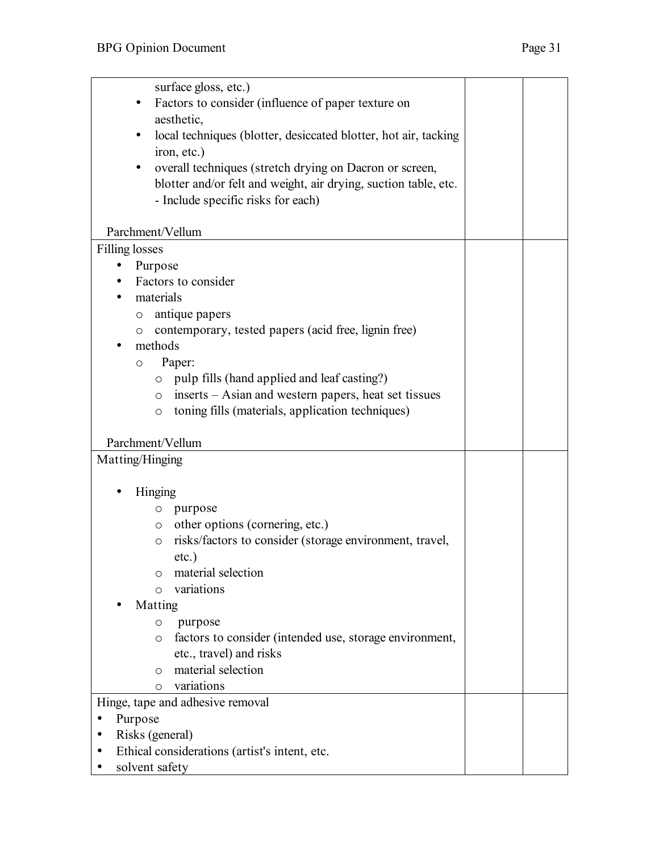| <b>Filling losses</b><br>Purpose<br>Factors to consider<br>materials<br>antique papers<br>$\circ$<br>contemporary, tested papers (acid free, lignin free)<br>$\circ$<br>methods<br>Paper:<br>O<br>pulp fills (hand applied and leaf casting?)<br>$\circ$<br>inserts – Asian and western papers, heat set tissues<br>$\circ$<br>toning fills (materials, application techniques)<br>$\circ$<br>Parchment/Vellum<br>Matting/Hinging<br>Hinging<br>purpose<br>O<br>other options (cornering, etc.)<br>$\circ$<br>risks/factors to consider (storage environment, travel,<br>$\circ$<br>$etc.$ )<br>material selection<br>O<br>variations<br>$\circ$<br>Matting<br>purpose<br>O<br>factors to consider (intended use, storage environment,<br>O<br>etc., travel) and risks<br>material selection<br>O<br>variations<br>$\circ$ | surface gloss, etc.)<br>Factors to consider (influence of paper texture on<br>aesthetic,<br>local techniques (blotter, desiccated blotter, hot air, tacking<br>$\bullet$<br>iron, etc.)<br>overall techniques (stretch drying on Dacron or screen,<br>blotter and/or felt and weight, air drying, suction table, etc.<br>- Include specific risks for each)<br>Parchment/Vellum |  |
|----------------------------------------------------------------------------------------------------------------------------------------------------------------------------------------------------------------------------------------------------------------------------------------------------------------------------------------------------------------------------------------------------------------------------------------------------------------------------------------------------------------------------------------------------------------------------------------------------------------------------------------------------------------------------------------------------------------------------------------------------------------------------------------------------------------------------|---------------------------------------------------------------------------------------------------------------------------------------------------------------------------------------------------------------------------------------------------------------------------------------------------------------------------------------------------------------------------------|--|
|                                                                                                                                                                                                                                                                                                                                                                                                                                                                                                                                                                                                                                                                                                                                                                                                                            |                                                                                                                                                                                                                                                                                                                                                                                 |  |
|                                                                                                                                                                                                                                                                                                                                                                                                                                                                                                                                                                                                                                                                                                                                                                                                                            |                                                                                                                                                                                                                                                                                                                                                                                 |  |
|                                                                                                                                                                                                                                                                                                                                                                                                                                                                                                                                                                                                                                                                                                                                                                                                                            |                                                                                                                                                                                                                                                                                                                                                                                 |  |
|                                                                                                                                                                                                                                                                                                                                                                                                                                                                                                                                                                                                                                                                                                                                                                                                                            |                                                                                                                                                                                                                                                                                                                                                                                 |  |
|                                                                                                                                                                                                                                                                                                                                                                                                                                                                                                                                                                                                                                                                                                                                                                                                                            |                                                                                                                                                                                                                                                                                                                                                                                 |  |
|                                                                                                                                                                                                                                                                                                                                                                                                                                                                                                                                                                                                                                                                                                                                                                                                                            |                                                                                                                                                                                                                                                                                                                                                                                 |  |
|                                                                                                                                                                                                                                                                                                                                                                                                                                                                                                                                                                                                                                                                                                                                                                                                                            |                                                                                                                                                                                                                                                                                                                                                                                 |  |
|                                                                                                                                                                                                                                                                                                                                                                                                                                                                                                                                                                                                                                                                                                                                                                                                                            |                                                                                                                                                                                                                                                                                                                                                                                 |  |
|                                                                                                                                                                                                                                                                                                                                                                                                                                                                                                                                                                                                                                                                                                                                                                                                                            |                                                                                                                                                                                                                                                                                                                                                                                 |  |
|                                                                                                                                                                                                                                                                                                                                                                                                                                                                                                                                                                                                                                                                                                                                                                                                                            |                                                                                                                                                                                                                                                                                                                                                                                 |  |
|                                                                                                                                                                                                                                                                                                                                                                                                                                                                                                                                                                                                                                                                                                                                                                                                                            |                                                                                                                                                                                                                                                                                                                                                                                 |  |
|                                                                                                                                                                                                                                                                                                                                                                                                                                                                                                                                                                                                                                                                                                                                                                                                                            |                                                                                                                                                                                                                                                                                                                                                                                 |  |
|                                                                                                                                                                                                                                                                                                                                                                                                                                                                                                                                                                                                                                                                                                                                                                                                                            |                                                                                                                                                                                                                                                                                                                                                                                 |  |
|                                                                                                                                                                                                                                                                                                                                                                                                                                                                                                                                                                                                                                                                                                                                                                                                                            |                                                                                                                                                                                                                                                                                                                                                                                 |  |
|                                                                                                                                                                                                                                                                                                                                                                                                                                                                                                                                                                                                                                                                                                                                                                                                                            |                                                                                                                                                                                                                                                                                                                                                                                 |  |
|                                                                                                                                                                                                                                                                                                                                                                                                                                                                                                                                                                                                                                                                                                                                                                                                                            |                                                                                                                                                                                                                                                                                                                                                                                 |  |
|                                                                                                                                                                                                                                                                                                                                                                                                                                                                                                                                                                                                                                                                                                                                                                                                                            |                                                                                                                                                                                                                                                                                                                                                                                 |  |
|                                                                                                                                                                                                                                                                                                                                                                                                                                                                                                                                                                                                                                                                                                                                                                                                                            |                                                                                                                                                                                                                                                                                                                                                                                 |  |
|                                                                                                                                                                                                                                                                                                                                                                                                                                                                                                                                                                                                                                                                                                                                                                                                                            |                                                                                                                                                                                                                                                                                                                                                                                 |  |
|                                                                                                                                                                                                                                                                                                                                                                                                                                                                                                                                                                                                                                                                                                                                                                                                                            |                                                                                                                                                                                                                                                                                                                                                                                 |  |
|                                                                                                                                                                                                                                                                                                                                                                                                                                                                                                                                                                                                                                                                                                                                                                                                                            |                                                                                                                                                                                                                                                                                                                                                                                 |  |
|                                                                                                                                                                                                                                                                                                                                                                                                                                                                                                                                                                                                                                                                                                                                                                                                                            |                                                                                                                                                                                                                                                                                                                                                                                 |  |
|                                                                                                                                                                                                                                                                                                                                                                                                                                                                                                                                                                                                                                                                                                                                                                                                                            |                                                                                                                                                                                                                                                                                                                                                                                 |  |
|                                                                                                                                                                                                                                                                                                                                                                                                                                                                                                                                                                                                                                                                                                                                                                                                                            |                                                                                                                                                                                                                                                                                                                                                                                 |  |
|                                                                                                                                                                                                                                                                                                                                                                                                                                                                                                                                                                                                                                                                                                                                                                                                                            |                                                                                                                                                                                                                                                                                                                                                                                 |  |
|                                                                                                                                                                                                                                                                                                                                                                                                                                                                                                                                                                                                                                                                                                                                                                                                                            |                                                                                                                                                                                                                                                                                                                                                                                 |  |
|                                                                                                                                                                                                                                                                                                                                                                                                                                                                                                                                                                                                                                                                                                                                                                                                                            |                                                                                                                                                                                                                                                                                                                                                                                 |  |
|                                                                                                                                                                                                                                                                                                                                                                                                                                                                                                                                                                                                                                                                                                                                                                                                                            |                                                                                                                                                                                                                                                                                                                                                                                 |  |
| Hinge, tape and adhesive removal<br>Purpose                                                                                                                                                                                                                                                                                                                                                                                                                                                                                                                                                                                                                                                                                                                                                                                |                                                                                                                                                                                                                                                                                                                                                                                 |  |
| Risks (general)                                                                                                                                                                                                                                                                                                                                                                                                                                                                                                                                                                                                                                                                                                                                                                                                            |                                                                                                                                                                                                                                                                                                                                                                                 |  |
| Ethical considerations (artist's intent, etc.                                                                                                                                                                                                                                                                                                                                                                                                                                                                                                                                                                                                                                                                                                                                                                              |                                                                                                                                                                                                                                                                                                                                                                                 |  |
| solvent safety                                                                                                                                                                                                                                                                                                                                                                                                                                                                                                                                                                                                                                                                                                                                                                                                             |                                                                                                                                                                                                                                                                                                                                                                                 |  |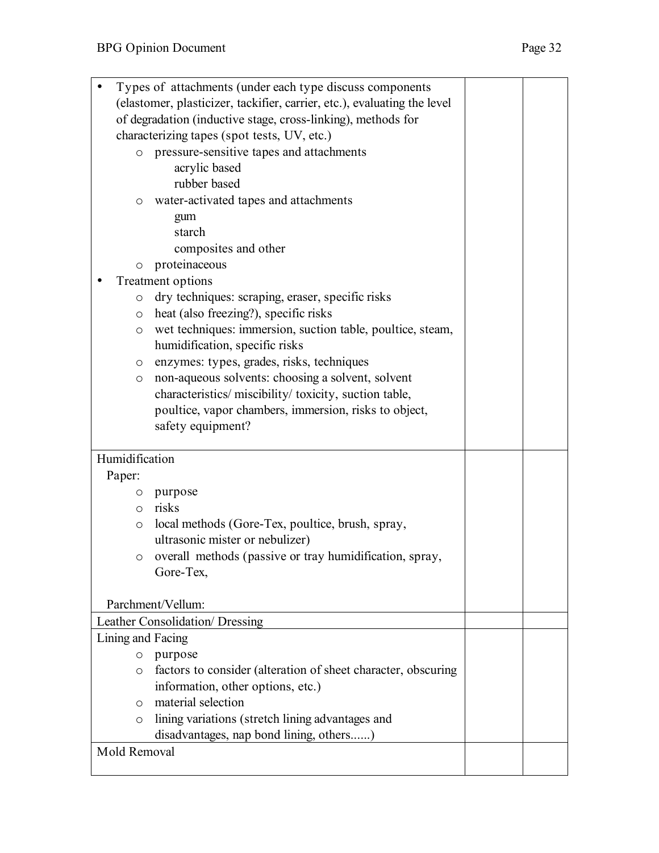|                                                                          | Types of attachments (under each type discuss components      |  |  |
|--------------------------------------------------------------------------|---------------------------------------------------------------|--|--|
| (elastomer, plasticizer, tackifier, carrier, etc.), evaluating the level |                                                               |  |  |
| of degradation (inductive stage, cross-linking), methods for             |                                                               |  |  |
|                                                                          | characterizing tapes (spot tests, UV, etc.)                   |  |  |
|                                                                          | o pressure-sensitive tapes and attachments                    |  |  |
|                                                                          | acrylic based                                                 |  |  |
|                                                                          | rubber based                                                  |  |  |
| O                                                                        | water-activated tapes and attachments                         |  |  |
|                                                                          | gum                                                           |  |  |
|                                                                          | starch                                                        |  |  |
|                                                                          | composites and other                                          |  |  |
|                                                                          |                                                               |  |  |
| $\circ$                                                                  | proteinaceous                                                 |  |  |
|                                                                          | Treatment options                                             |  |  |
| $\circ$                                                                  | dry techniques: scraping, eraser, specific risks              |  |  |
| $\circ$                                                                  | heat (also freezing?), specific risks                         |  |  |
| $\circ$                                                                  | wet techniques: immersion, suction table, poultice, steam,    |  |  |
|                                                                          | humidification, specific risks                                |  |  |
| $\circ$                                                                  | enzymes: types, grades, risks, techniques                     |  |  |
| $\circ$                                                                  | non-aqueous solvents: choosing a solvent, solvent             |  |  |
|                                                                          | characteristics/ miscibility/ toxicity, suction table,        |  |  |
|                                                                          | poultice, vapor chambers, immersion, risks to object,         |  |  |
|                                                                          | safety equipment?                                             |  |  |
|                                                                          |                                                               |  |  |
| Humidification                                                           |                                                               |  |  |
| Paper:                                                                   |                                                               |  |  |
| $\circ$                                                                  | purpose                                                       |  |  |
| $\circ$                                                                  | risks                                                         |  |  |
| $\circ$                                                                  | local methods (Gore-Tex, poultice, brush, spray,              |  |  |
|                                                                          | ultrasonic mister or nebulizer)                               |  |  |
| $\circ$                                                                  | overall methods (passive or tray humidification, spray,       |  |  |
|                                                                          | Gore-Tex,                                                     |  |  |
|                                                                          |                                                               |  |  |
|                                                                          | Parchment/Vellum:                                             |  |  |
|                                                                          | Leather Consolidation/ Dressing                               |  |  |
| Lining and Facing                                                        |                                                               |  |  |
| $\circ$                                                                  | purpose                                                       |  |  |
| $\circ$                                                                  | factors to consider (alteration of sheet character, obscuring |  |  |
|                                                                          | information, other options, etc.)                             |  |  |
| $\circ$                                                                  | material selection                                            |  |  |
| $\circ$                                                                  | lining variations (stretch lining advantages and              |  |  |
|                                                                          | disadvantages, nap bond lining, others)                       |  |  |
| Mold Removal                                                             |                                                               |  |  |
|                                                                          |                                                               |  |  |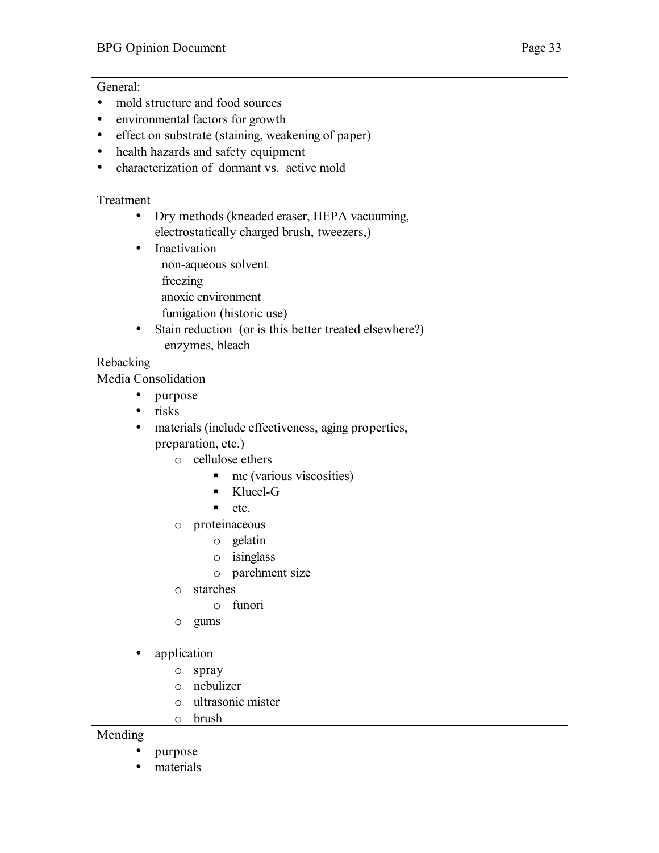| General:                                                        |  |  |  |
|-----------------------------------------------------------------|--|--|--|
| mold structure and food sources<br>$\bullet$                    |  |  |  |
| environmental factors for growth<br>$\bullet$                   |  |  |  |
| effect on substrate (staining, weakening of paper)<br>$\bullet$ |  |  |  |
| health hazards and safety equipment<br>$\bullet$                |  |  |  |
| characterization of dormant vs. active mold<br>$\bullet$        |  |  |  |
|                                                                 |  |  |  |
| Treatment                                                       |  |  |  |
| Dry methods (kneaded eraser, HEPA vacuuming,<br>$\bullet$       |  |  |  |
| electrostatically charged brush, tweezers,)                     |  |  |  |
| Inactivation<br>$\bullet$                                       |  |  |  |
| non-aqueous solvent                                             |  |  |  |
| freezing                                                        |  |  |  |
| anoxic environment                                              |  |  |  |
| fumigation (historic use)                                       |  |  |  |
| Stain reduction (or is this better treated elsewhere?)          |  |  |  |
| enzymes, bleach                                                 |  |  |  |
| Rebacking                                                       |  |  |  |
| Media Consolidation                                             |  |  |  |
| ٠<br>purpose                                                    |  |  |  |
| $\bullet$ risks                                                 |  |  |  |
| materials (include effectiveness, aging properties,<br>٠        |  |  |  |
| preparation, etc.)                                              |  |  |  |
| cellulose ethers<br>$\circ$                                     |  |  |  |
| mc (various viscosities)<br>п,                                  |  |  |  |
| Klucel-G<br>٠                                                   |  |  |  |
| etc.                                                            |  |  |  |
| proteinaceous<br>O                                              |  |  |  |
| gelatin<br>$\circ$                                              |  |  |  |
| isinglass<br>$\circ$                                            |  |  |  |
| o parchment size                                                |  |  |  |
| starches<br>O                                                   |  |  |  |
| funori<br>$\circ$                                               |  |  |  |
| gums<br>O                                                       |  |  |  |
| application                                                     |  |  |  |
| spray<br>$\circ$                                                |  |  |  |
| nebulizer<br>$\circ$                                            |  |  |  |
| ultrasonic mister<br>$\circ$                                    |  |  |  |
| brush<br>O                                                      |  |  |  |
| Mending                                                         |  |  |  |
| purpose                                                         |  |  |  |
| materials                                                       |  |  |  |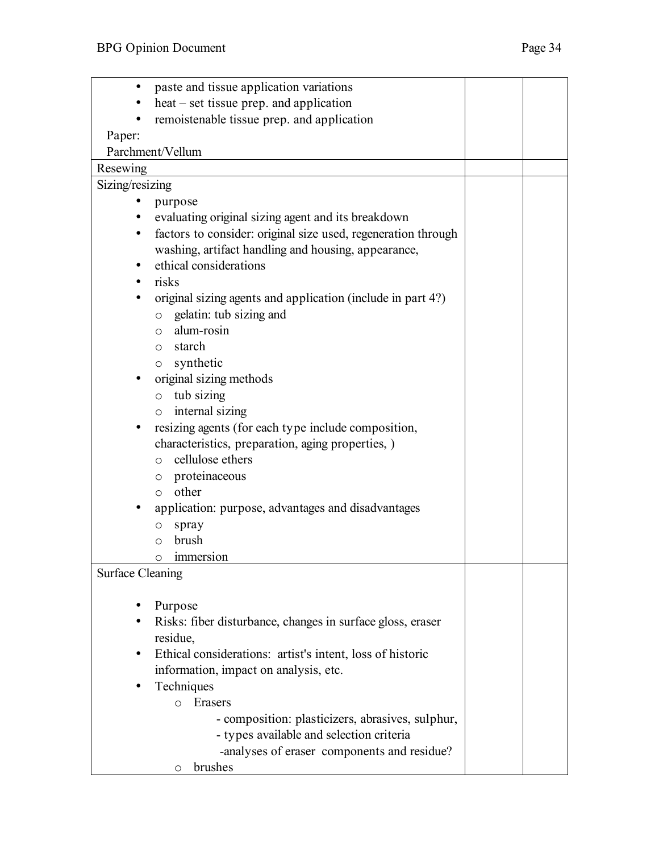| $\bullet$               | paste and tissue application variations                               |  |  |
|-------------------------|-----------------------------------------------------------------------|--|--|
|                         | heat – set tissue prep. and application                               |  |  |
| $\bullet$               | remoistenable tissue prep. and application                            |  |  |
| Paper:                  |                                                                       |  |  |
|                         | Parchment/Vellum                                                      |  |  |
| Resewing                |                                                                       |  |  |
| Sizing/resizing         |                                                                       |  |  |
|                         | purpose                                                               |  |  |
| $\bullet$               | evaluating original sizing agent and its breakdown                    |  |  |
| $\bullet$               | factors to consider: original size used, regeneration through         |  |  |
|                         | washing, artifact handling and housing, appearance,                   |  |  |
|                         | ethical considerations                                                |  |  |
| ٠                       | risks                                                                 |  |  |
|                         | original sizing agents and application (include in part 4?)           |  |  |
|                         | gelatin: tub sizing and<br>$\circ$                                    |  |  |
|                         | alum-rosin<br>$\circ$                                                 |  |  |
|                         | starch<br>$\circ$                                                     |  |  |
|                         | o synthetic                                                           |  |  |
|                         | original sizing methods                                               |  |  |
|                         | tub sizing<br>$\circ$                                                 |  |  |
|                         | internal sizing<br>$\circ$                                            |  |  |
|                         | resizing agents (for each type include composition,                   |  |  |
|                         | characteristics, preparation, aging properties, )<br>cellulose ethers |  |  |
|                         | $\circ$<br>proteinaceous                                              |  |  |
|                         | $\circ$<br>other<br>$\circ$                                           |  |  |
|                         | application: purpose, advantages and disadvantages                    |  |  |
|                         |                                                                       |  |  |
|                         | spray<br>$\circ$<br>brush<br>$\circ$                                  |  |  |
|                         | o immersion                                                           |  |  |
|                         |                                                                       |  |  |
| <b>Surface Cleaning</b> |                                                                       |  |  |
|                         | Purpose                                                               |  |  |
|                         | Risks: fiber disturbance, changes in surface gloss, eraser            |  |  |
|                         | residue,                                                              |  |  |
|                         | Ethical considerations: artist's intent, loss of historic             |  |  |
|                         | information, impact on analysis, etc.                                 |  |  |
|                         | Techniques                                                            |  |  |
|                         | Erasers<br>$\circ$                                                    |  |  |
|                         | - composition: plasticizers, abrasives, sulphur,                      |  |  |
|                         | - types available and selection criteria                              |  |  |
|                         | -analyses of eraser components and residue?                           |  |  |
|                         | brushes<br>O                                                          |  |  |